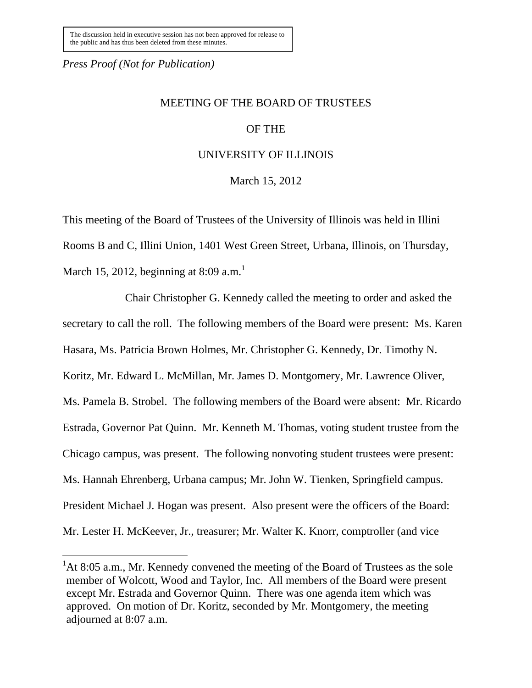*Press Proof (Not for Publication)*

 $\overline{a}$ 

## MEETING OF THE BOARD OF TRUSTEES

### OF THE

### UNIVERSITY OF ILLINOIS

March 15, 2012

This meeting of the Board of Trustees of the University of Illinois was held in Illini Rooms B and C, Illini Union, 1401 West Green Street, Urbana, Illinois, on Thursday, March 15, 2012, beginning at 8:09 a.m.<sup>1</sup>

Chair Christopher G. Kennedy called the meeting to order and asked the secretary to call the roll. The following members of the Board were present: Ms. Karen Hasara, Ms. Patricia Brown Holmes, Mr. Christopher G. Kennedy, Dr. Timothy N. Koritz, Mr. Edward L. McMillan, Mr. James D. Montgomery, Mr. Lawrence Oliver, Ms. Pamela B. Strobel. The following members of the Board were absent: Mr. Ricardo Estrada, Governor Pat Quinn. Mr. Kenneth M. Thomas, voting student trustee from the Chicago campus, was present. The following nonvoting student trustees were present: Ms. Hannah Ehrenberg, Urbana campus; Mr. John W. Tienken, Springfield campus. President Michael J. Hogan was present. Also present were the officers of the Board: Mr. Lester H. McKeever, Jr., treasurer; Mr. Walter K. Knorr, comptroller (and vice

 ${}^{1}$ At 8:05 a.m., Mr. Kennedy convened the meeting of the Board of Trustees as the sole member of Wolcott, Wood and Taylor, Inc. All members of the Board were present except Mr. Estrada and Governor Quinn. There was one agenda item which was approved. On motion of Dr. Koritz, seconded by Mr. Montgomery, the meeting adjourned at 8:07 a.m.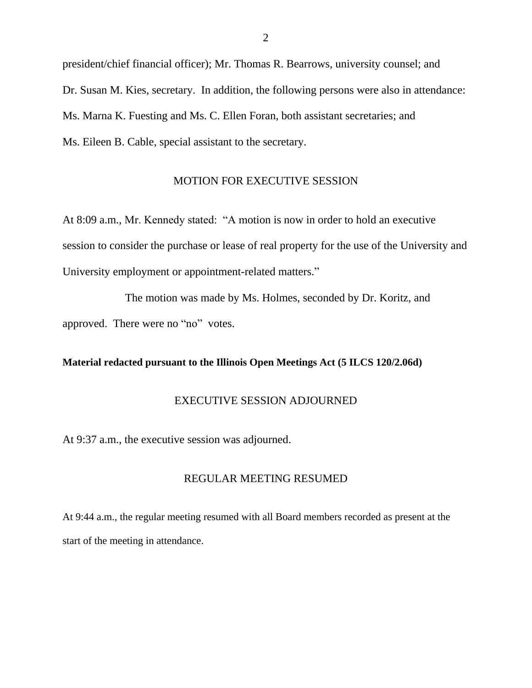president/chief financial officer); Mr. Thomas R. Bearrows, university counsel; and Dr. Susan M. Kies, secretary. In addition, the following persons were also in attendance: Ms. Marna K. Fuesting and Ms. C. Ellen Foran, both assistant secretaries; and Ms. Eileen B. Cable, special assistant to the secretary.

#### MOTION FOR EXECUTIVE SESSION

At 8:09 a.m., Mr. Kennedy stated: "A motion is now in order to hold an executive session to consider the purchase or lease of real property for the use of the University and University employment or appointment-related matters."

The motion was made by Ms. Holmes, seconded by Dr. Koritz, and approved. There were no "no" votes.

#### **Material redacted pursuant to the Illinois Open Meetings Act (5 ILCS 120/2.06d)**

#### EXECUTIVE SESSION ADJOURNED

At 9:37 a.m., the executive session was adjourned.

#### REGULAR MEETING RESUMED

At 9:44 a.m., the regular meeting resumed with all Board members recorded as present at the start of the meeting in attendance.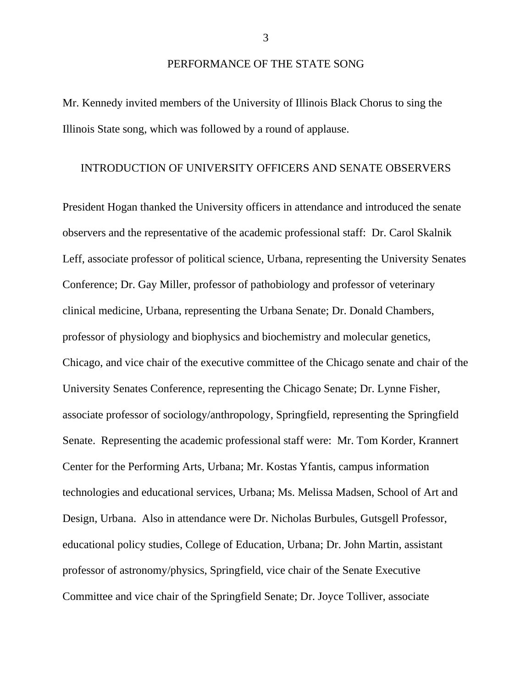#### PERFORMANCE OF THE STATE SONG

Mr. Kennedy invited members of the University of Illinois Black Chorus to sing the Illinois State song, which was followed by a round of applause.

#### INTRODUCTION OF UNIVERSITY OFFICERS AND SENATE OBSERVERS

President Hogan thanked the University officers in attendance and introduced the senate observers and the representative of the academic professional staff: Dr. Carol Skalnik Leff, associate professor of political science, Urbana, representing the University Senates Conference; Dr. Gay Miller, professor of pathobiology and professor of veterinary clinical medicine, Urbana, representing the Urbana Senate; Dr. Donald Chambers, professor of physiology and biophysics and biochemistry and molecular genetics, Chicago, and vice chair of the executive committee of the Chicago senate and chair of the University Senates Conference, representing the Chicago Senate; Dr. Lynne Fisher, associate professor of sociology/anthropology, Springfield, representing the Springfield Senate. Representing the academic professional staff were: Mr. Tom Korder, Krannert Center for the Performing Arts, Urbana; Mr. Kostas Yfantis, campus information technologies and educational services, Urbana; Ms. Melissa Madsen, School of Art and Design, Urbana. Also in attendance were Dr. Nicholas Burbules, Gutsgell Professor, educational policy studies, College of Education, Urbana; Dr. John Martin, assistant professor of astronomy/physics, Springfield, vice chair of the Senate Executive Committee and vice chair of the Springfield Senate; Dr. Joyce Tolliver, associate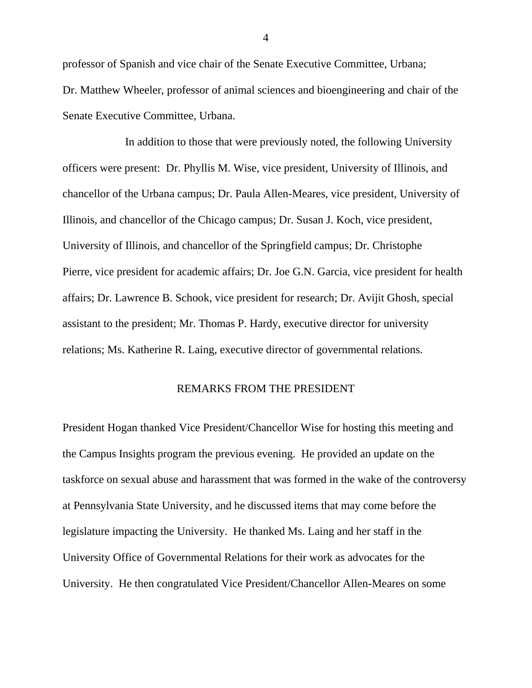professor of Spanish and vice chair of the Senate Executive Committee, Urbana; Dr. Matthew Wheeler, professor of animal sciences and bioengineering and chair of the Senate Executive Committee, Urbana.

In addition to those that were previously noted, the following University officers were present: Dr. Phyllis M. Wise, vice president, University of Illinois, and chancellor of the Urbana campus; Dr. Paula Allen-Meares, vice president, University of Illinois, and chancellor of the Chicago campus; Dr. Susan J. Koch, vice president, University of Illinois, and chancellor of the Springfield campus; Dr. Christophe Pierre, vice president for academic affairs; Dr. Joe G.N. Garcia, vice president for health affairs; Dr. Lawrence B. Schook, vice president for research; Dr. Avijit Ghosh, special assistant to the president; Mr. Thomas P. Hardy, executive director for university relations; Ms. Katherine R. Laing, executive director of governmental relations.

#### REMARKS FROM THE PRESIDENT

President Hogan thanked Vice President/Chancellor Wise for hosting this meeting and the Campus Insights program the previous evening. He provided an update on the taskforce on sexual abuse and harassment that was formed in the wake of the controversy at Pennsylvania State University, and he discussed items that may come before the legislature impacting the University. He thanked Ms. Laing and her staff in the University Office of Governmental Relations for their work as advocates for the University. He then congratulated Vice President/Chancellor Allen-Meares on some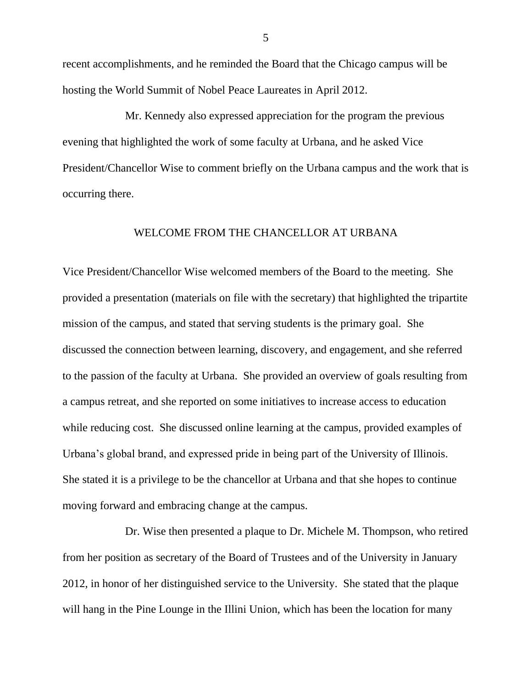recent accomplishments, and he reminded the Board that the Chicago campus will be hosting the World Summit of Nobel Peace Laureates in April 2012.

Mr. Kennedy also expressed appreciation for the program the previous evening that highlighted the work of some faculty at Urbana, and he asked Vice President/Chancellor Wise to comment briefly on the Urbana campus and the work that is occurring there.

#### WELCOME FROM THE CHANCELLOR AT URBANA

Vice President/Chancellor Wise welcomed members of the Board to the meeting. She provided a presentation (materials on file with the secretary) that highlighted the tripartite mission of the campus, and stated that serving students is the primary goal. She discussed the connection between learning, discovery, and engagement, and she referred to the passion of the faculty at Urbana. She provided an overview of goals resulting from a campus retreat, and she reported on some initiatives to increase access to education while reducing cost. She discussed online learning at the campus, provided examples of Urbana's global brand, and expressed pride in being part of the University of Illinois. She stated it is a privilege to be the chancellor at Urbana and that she hopes to continue moving forward and embracing change at the campus.

Dr. Wise then presented a plaque to Dr. Michele M. Thompson, who retired from her position as secretary of the Board of Trustees and of the University in January 2012, in honor of her distinguished service to the University. She stated that the plaque will hang in the Pine Lounge in the Illini Union, which has been the location for many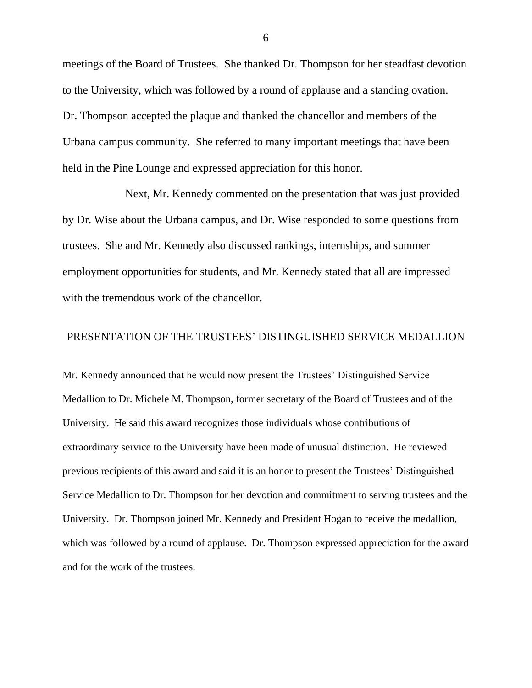meetings of the Board of Trustees. She thanked Dr. Thompson for her steadfast devotion to the University, which was followed by a round of applause and a standing ovation. Dr. Thompson accepted the plaque and thanked the chancellor and members of the Urbana campus community. She referred to many important meetings that have been held in the Pine Lounge and expressed appreciation for this honor.

Next, Mr. Kennedy commented on the presentation that was just provided by Dr. Wise about the Urbana campus, and Dr. Wise responded to some questions from trustees. She and Mr. Kennedy also discussed rankings, internships, and summer employment opportunities for students, and Mr. Kennedy stated that all are impressed with the tremendous work of the chancellor.

### PRESENTATION OF THE TRUSTEES' DISTINGUISHED SERVICE MEDALLION

Mr. Kennedy announced that he would now present the Trustees' Distinguished Service Medallion to Dr. Michele M. Thompson, former secretary of the Board of Trustees and of the University. He said this award recognizes those individuals whose contributions of extraordinary service to the University have been made of unusual distinction. He reviewed previous recipients of this award and said it is an honor to present the Trustees' Distinguished Service Medallion to Dr. Thompson for her devotion and commitment to serving trustees and the University. Dr. Thompson joined Mr. Kennedy and President Hogan to receive the medallion, which was followed by a round of applause. Dr. Thompson expressed appreciation for the award and for the work of the trustees.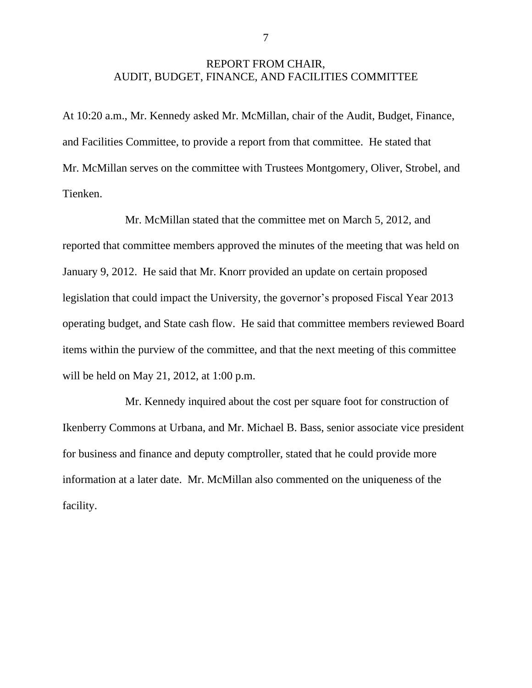### REPORT FROM CHAIR, AUDIT, BUDGET, FINANCE, AND FACILITIES COMMITTEE

At 10:20 a.m., Mr. Kennedy asked Mr. McMillan, chair of the Audit, Budget, Finance, and Facilities Committee, to provide a report from that committee. He stated that Mr. McMillan serves on the committee with Trustees Montgomery, Oliver, Strobel, and Tienken.

Mr. McMillan stated that the committee met on March 5, 2012, and reported that committee members approved the minutes of the meeting that was held on January 9, 2012. He said that Mr. Knorr provided an update on certain proposed legislation that could impact the University, the governor's proposed Fiscal Year 2013 operating budget, and State cash flow. He said that committee members reviewed Board items within the purview of the committee, and that the next meeting of this committee will be held on May 21, 2012, at 1:00 p.m.

Mr. Kennedy inquired about the cost per square foot for construction of Ikenberry Commons at Urbana, and Mr. Michael B. Bass, senior associate vice president for business and finance and deputy comptroller, stated that he could provide more information at a later date. Mr. McMillan also commented on the uniqueness of the facility.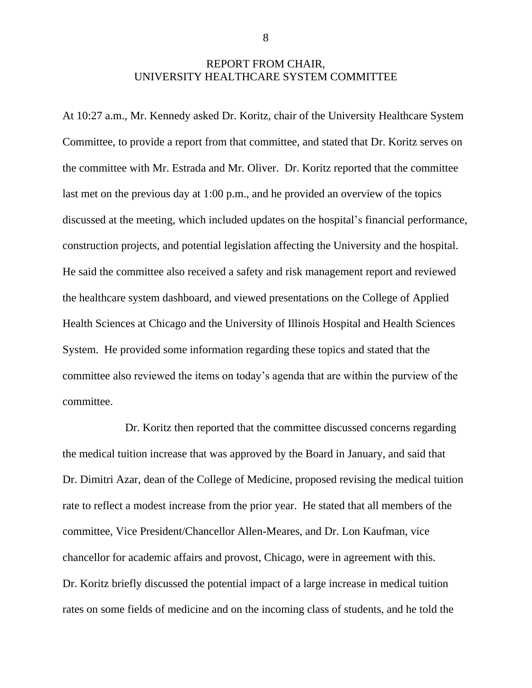### REPORT FROM CHAIR, UNIVERSITY HEALTHCARE SYSTEM COMMITTEE

At 10:27 a.m., Mr. Kennedy asked Dr. Koritz, chair of the University Healthcare System Committee, to provide a report from that committee, and stated that Dr. Koritz serves on the committee with Mr. Estrada and Mr. Oliver. Dr. Koritz reported that the committee last met on the previous day at 1:00 p.m., and he provided an overview of the topics discussed at the meeting, which included updates on the hospital's financial performance, construction projects, and potential legislation affecting the University and the hospital. He said the committee also received a safety and risk management report and reviewed the healthcare system dashboard, and viewed presentations on the College of Applied Health Sciences at Chicago and the University of Illinois Hospital and Health Sciences System. He provided some information regarding these topics and stated that the committee also reviewed the items on today's agenda that are within the purview of the committee.

Dr. Koritz then reported that the committee discussed concerns regarding the medical tuition increase that was approved by the Board in January, and said that Dr. Dimitri Azar, dean of the College of Medicine, proposed revising the medical tuition rate to reflect a modest increase from the prior year. He stated that all members of the committee, Vice President/Chancellor Allen-Meares, and Dr. Lon Kaufman, vice chancellor for academic affairs and provost, Chicago, were in agreement with this. Dr. Koritz briefly discussed the potential impact of a large increase in medical tuition rates on some fields of medicine and on the incoming class of students, and he told the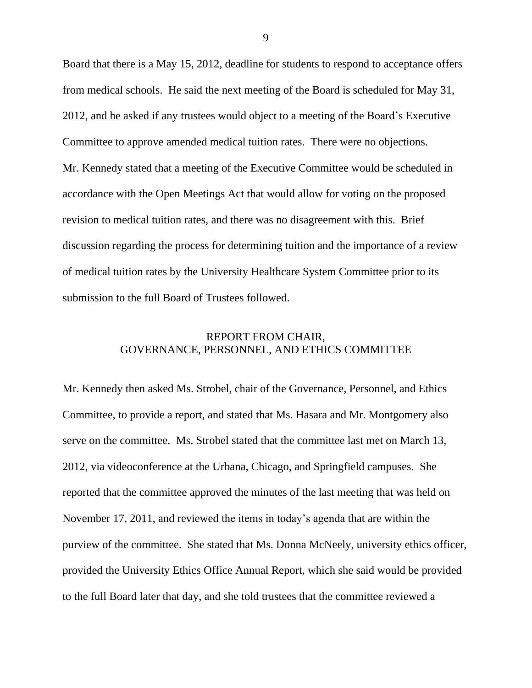Board that there is a May 15, 2012, deadline for students to respond to acceptance offers from medical schools. He said the next meeting of the Board is scheduled for May 31, 2012, and he asked if any trustees would object to a meeting of the Board's Executive Committee to approve amended medical tuition rates. There were no objections. Mr. Kennedy stated that a meeting of the Executive Committee would be scheduled in accordance with the Open Meetings Act that would allow for voting on the proposed revision to medical tuition rates, and there was no disagreement with this. Brief discussion regarding the process for determining tuition and the importance of a review of medical tuition rates by the University Healthcare System Committee prior to its submission to the full Board of Trustees followed.

## REPORT FROM CHAIR, GOVERNANCE, PERSONNEL, AND ETHICS COMMITTEE

Mr. Kennedy then asked Ms. Strobel, chair of the Governance, Personnel, and Ethics Committee, to provide a report, and stated that Ms. Hasara and Mr. Montgomery also serve on the committee. Ms. Strobel stated that the committee last met on March 13, 2012, via videoconference at the Urbana, Chicago, and Springfield campuses. She reported that the committee approved the minutes of the last meeting that was held on November 17, 2011, and reviewed the items in today's agenda that are within the purview of the committee. She stated that Ms. Donna McNeely, university ethics officer, provided the University Ethics Office Annual Report, which she said would be provided to the full Board later that day, and she told trustees that the committee reviewed a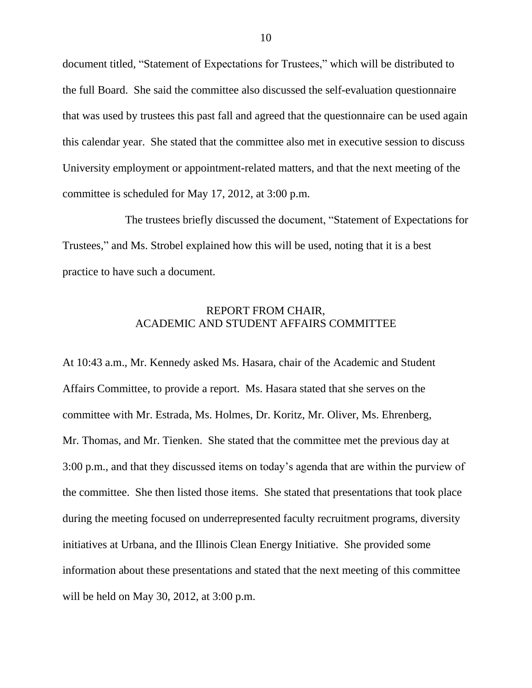document titled, "Statement of Expectations for Trustees," which will be distributed to the full Board. She said the committee also discussed the self-evaluation questionnaire that was used by trustees this past fall and agreed that the questionnaire can be used again this calendar year. She stated that the committee also met in executive session to discuss University employment or appointment-related matters, and that the next meeting of the committee is scheduled for May 17, 2012, at 3:00 p.m.

The trustees briefly discussed the document, "Statement of Expectations for Trustees," and Ms. Strobel explained how this will be used, noting that it is a best practice to have such a document.

## REPORT FROM CHAIR, ACADEMIC AND STUDENT AFFAIRS COMMITTEE

At 10:43 a.m., Mr. Kennedy asked Ms. Hasara, chair of the Academic and Student Affairs Committee, to provide a report. Ms. Hasara stated that she serves on the committee with Mr. Estrada, Ms. Holmes, Dr. Koritz, Mr. Oliver, Ms. Ehrenberg, Mr. Thomas, and Mr. Tienken. She stated that the committee met the previous day at 3:00 p.m., and that they discussed items on today's agenda that are within the purview of the committee. She then listed those items. She stated that presentations that took place during the meeting focused on underrepresented faculty recruitment programs, diversity initiatives at Urbana, and the Illinois Clean Energy Initiative. She provided some information about these presentations and stated that the next meeting of this committee will be held on May 30, 2012, at 3:00 p.m.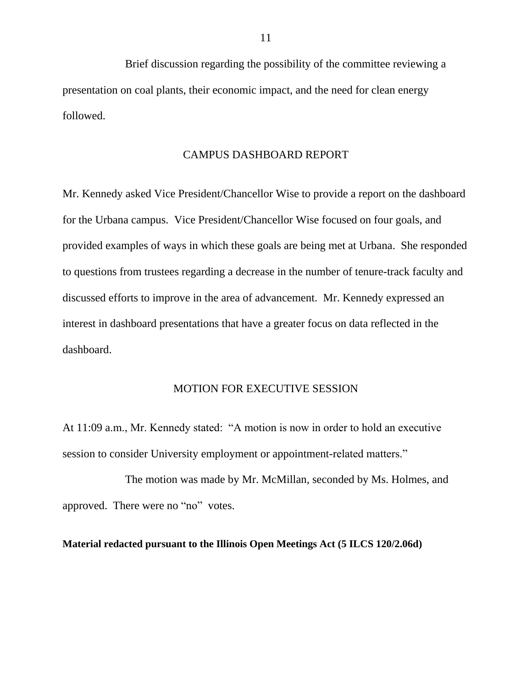Brief discussion regarding the possibility of the committee reviewing a presentation on coal plants, their economic impact, and the need for clean energy followed.

#### CAMPUS DASHBOARD REPORT

Mr. Kennedy asked Vice President/Chancellor Wise to provide a report on the dashboard for the Urbana campus. Vice President/Chancellor Wise focused on four goals, and provided examples of ways in which these goals are being met at Urbana. She responded to questions from trustees regarding a decrease in the number of tenure-track faculty and discussed efforts to improve in the area of advancement. Mr. Kennedy expressed an interest in dashboard presentations that have a greater focus on data reflected in the dashboard.

#### MOTION FOR EXECUTIVE SESSION

At 11:09 a.m., Mr. Kennedy stated: "A motion is now in order to hold an executive session to consider University employment or appointment-related matters."

The motion was made by Mr. McMillan, seconded by Ms. Holmes, and approved. There were no "no" votes.

#### **Material redacted pursuant to the Illinois Open Meetings Act (5 ILCS 120/2.06d)**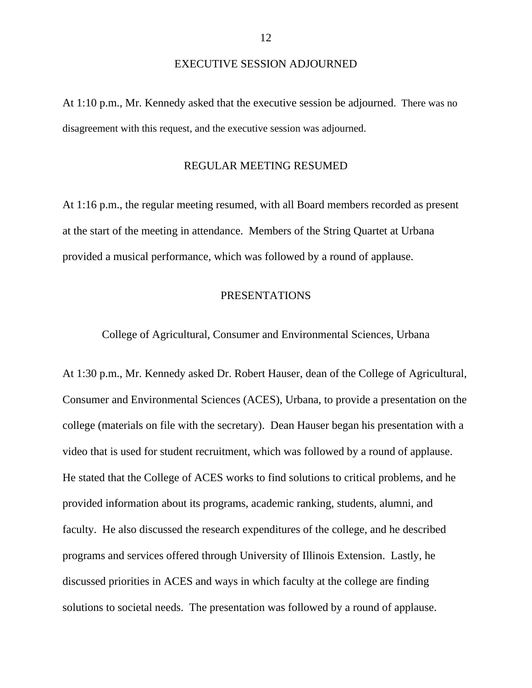#### EXECUTIVE SESSION ADJOURNED

At 1:10 p.m., Mr. Kennedy asked that the executive session be adjourned. There was no disagreement with this request, and the executive session was adjourned.

#### REGULAR MEETING RESUMED

At 1:16 p.m., the regular meeting resumed, with all Board members recorded as present at the start of the meeting in attendance. Members of the String Quartet at Urbana provided a musical performance, which was followed by a round of applause.

#### PRESENTATIONS

College of Agricultural, Consumer and Environmental Sciences, Urbana

At 1:30 p.m., Mr. Kennedy asked Dr. Robert Hauser, dean of the College of Agricultural, Consumer and Environmental Sciences (ACES), Urbana, to provide a presentation on the college (materials on file with the secretary). Dean Hauser began his presentation with a video that is used for student recruitment, which was followed by a round of applause. He stated that the College of ACES works to find solutions to critical problems, and he provided information about its programs, academic ranking, students, alumni, and faculty. He also discussed the research expenditures of the college, and he described programs and services offered through University of Illinois Extension. Lastly, he discussed priorities in ACES and ways in which faculty at the college are finding solutions to societal needs. The presentation was followed by a round of applause.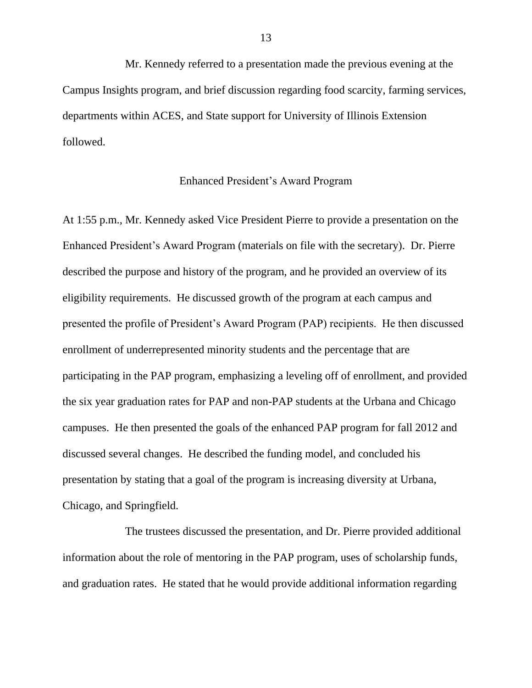Mr. Kennedy referred to a presentation made the previous evening at the Campus Insights program, and brief discussion regarding food scarcity, farming services, departments within ACES, and State support for University of Illinois Extension followed.

#### Enhanced President's Award Program

At 1:55 p.m., Mr. Kennedy asked Vice President Pierre to provide a presentation on the Enhanced President's Award Program (materials on file with the secretary). Dr. Pierre described the purpose and history of the program, and he provided an overview of its eligibility requirements. He discussed growth of the program at each campus and presented the profile of President's Award Program (PAP) recipients. He then discussed enrollment of underrepresented minority students and the percentage that are participating in the PAP program, emphasizing a leveling off of enrollment, and provided the six year graduation rates for PAP and non-PAP students at the Urbana and Chicago campuses. He then presented the goals of the enhanced PAP program for fall 2012 and discussed several changes. He described the funding model, and concluded his presentation by stating that a goal of the program is increasing diversity at Urbana, Chicago, and Springfield.

The trustees discussed the presentation, and Dr. Pierre provided additional information about the role of mentoring in the PAP program, uses of scholarship funds, and graduation rates. He stated that he would provide additional information regarding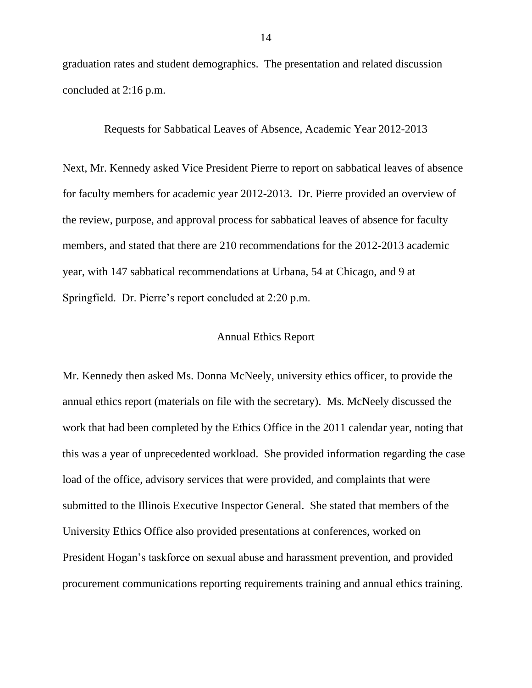graduation rates and student demographics. The presentation and related discussion concluded at 2:16 p.m.

Requests for Sabbatical Leaves of Absence, Academic Year 2012-2013

Next, Mr. Kennedy asked Vice President Pierre to report on sabbatical leaves of absence for faculty members for academic year 2012-2013. Dr. Pierre provided an overview of the review, purpose, and approval process for sabbatical leaves of absence for faculty members, and stated that there are 210 recommendations for the 2012-2013 academic year, with 147 sabbatical recommendations at Urbana, 54 at Chicago, and 9 at Springfield. Dr. Pierre's report concluded at 2:20 p.m.

#### Annual Ethics Report

Mr. Kennedy then asked Ms. Donna McNeely, university ethics officer, to provide the annual ethics report (materials on file with the secretary). Ms. McNeely discussed the work that had been completed by the Ethics Office in the 2011 calendar year, noting that this was a year of unprecedented workload. She provided information regarding the case load of the office, advisory services that were provided, and complaints that were submitted to the Illinois Executive Inspector General. She stated that members of the University Ethics Office also provided presentations at conferences, worked on President Hogan's taskforce on sexual abuse and harassment prevention, and provided procurement communications reporting requirements training and annual ethics training.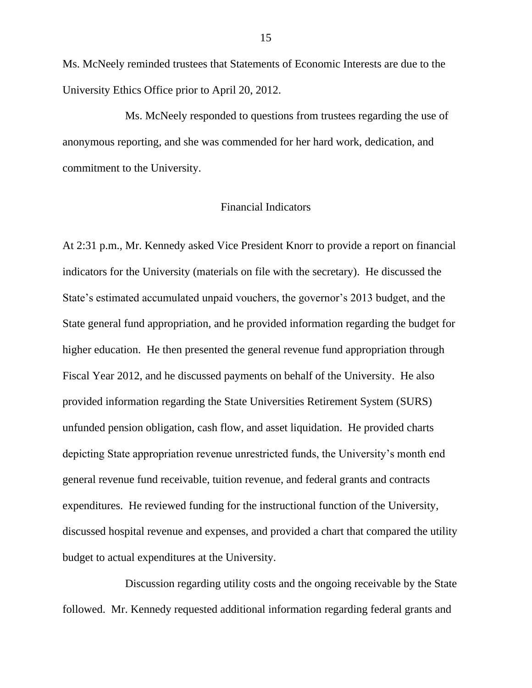Ms. McNeely reminded trustees that Statements of Economic Interests are due to the University Ethics Office prior to April 20, 2012.

Ms. McNeely responded to questions from trustees regarding the use of anonymous reporting, and she was commended for her hard work, dedication, and commitment to the University.

### Financial Indicators

At 2:31 p.m., Mr. Kennedy asked Vice President Knorr to provide a report on financial indicators for the University (materials on file with the secretary). He discussed the State's estimated accumulated unpaid vouchers, the governor's 2013 budget, and the State general fund appropriation, and he provided information regarding the budget for higher education. He then presented the general revenue fund appropriation through Fiscal Year 2012, and he discussed payments on behalf of the University. He also provided information regarding the State Universities Retirement System (SURS) unfunded pension obligation, cash flow, and asset liquidation. He provided charts depicting State appropriation revenue unrestricted funds, the University's month end general revenue fund receivable, tuition revenue, and federal grants and contracts expenditures. He reviewed funding for the instructional function of the University, discussed hospital revenue and expenses, and provided a chart that compared the utility budget to actual expenditures at the University.

Discussion regarding utility costs and the ongoing receivable by the State followed. Mr. Kennedy requested additional information regarding federal grants and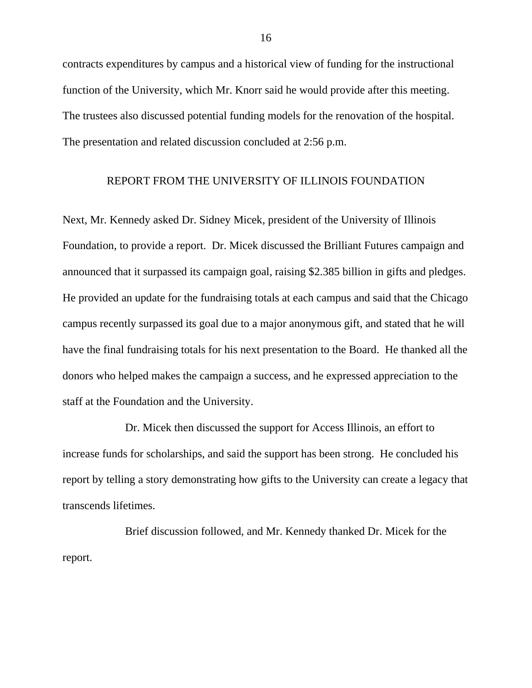contracts expenditures by campus and a historical view of funding for the instructional function of the University, which Mr. Knorr said he would provide after this meeting. The trustees also discussed potential funding models for the renovation of the hospital. The presentation and related discussion concluded at 2:56 p.m.

#### REPORT FROM THE UNIVERSITY OF ILLINOIS FOUNDATION

Next, Mr. Kennedy asked Dr. Sidney Micek, president of the University of Illinois Foundation, to provide a report. Dr. Micek discussed the Brilliant Futures campaign and announced that it surpassed its campaign goal, raising \$2.385 billion in gifts and pledges. He provided an update for the fundraising totals at each campus and said that the Chicago campus recently surpassed its goal due to a major anonymous gift, and stated that he will have the final fundraising totals for his next presentation to the Board. He thanked all the donors who helped makes the campaign a success, and he expressed appreciation to the staff at the Foundation and the University.

Dr. Micek then discussed the support for Access Illinois, an effort to increase funds for scholarships, and said the support has been strong. He concluded his report by telling a story demonstrating how gifts to the University can create a legacy that transcends lifetimes.

Brief discussion followed, and Mr. Kennedy thanked Dr. Micek for the report.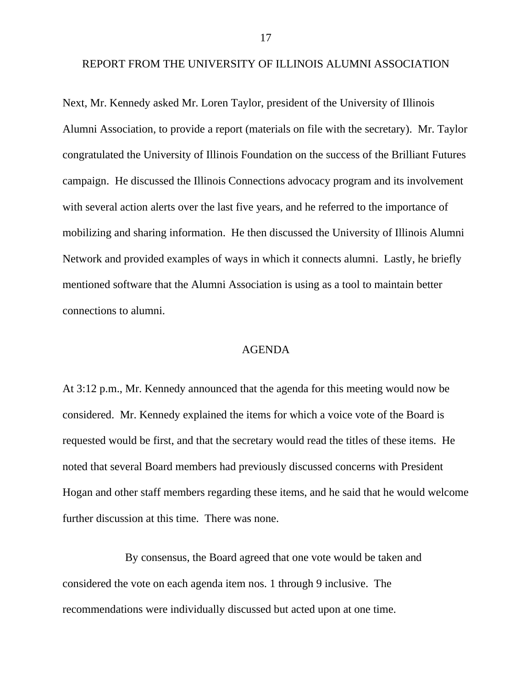REPORT FROM THE UNIVERSITY OF ILLINOIS ALUMNI ASSOCIATION

Next, Mr. Kennedy asked Mr. Loren Taylor, president of the University of Illinois Alumni Association, to provide a report (materials on file with the secretary). Mr. Taylor congratulated the University of Illinois Foundation on the success of the Brilliant Futures campaign. He discussed the Illinois Connections advocacy program and its involvement with several action alerts over the last five years, and he referred to the importance of mobilizing and sharing information. He then discussed the University of Illinois Alumni Network and provided examples of ways in which it connects alumni. Lastly, he briefly mentioned software that the Alumni Association is using as a tool to maintain better connections to alumni.

#### AGENDA

At 3:12 p.m., Mr. Kennedy announced that the agenda for this meeting would now be considered. Mr. Kennedy explained the items for which a voice vote of the Board is requested would be first, and that the secretary would read the titles of these items. He noted that several Board members had previously discussed concerns with President Hogan and other staff members regarding these items, and he said that he would welcome further discussion at this time. There was none.

By consensus, the Board agreed that one vote would be taken and considered the vote on each agenda item nos. 1 through 9 inclusive. The recommendations were individually discussed but acted upon at one time.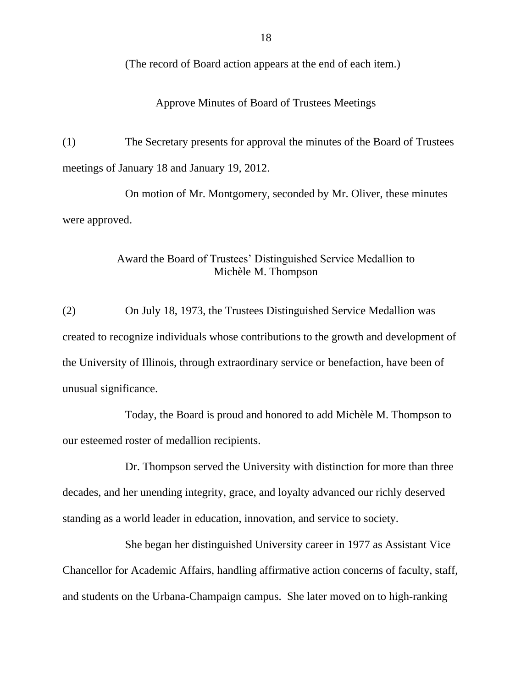(The record of Board action appears at the end of each item.)

Approve Minutes of Board of Trustees Meetings

(1) The Secretary presents for approval the minutes of the Board of Trustees meetings of January 18 and January 19, 2012.

On motion of Mr. Montgomery, seconded by Mr. Oliver, these minutes were approved.

## Award the Board of Trustees' Distinguished Service Medallion to Michèle M. Thompson

(2) On July 18, 1973, the Trustees Distinguished Service Medallion was created to recognize individuals whose contributions to the growth and development of the University of Illinois, through extraordinary service or benefaction, have been of unusual significance.

Today, the Board is proud and honored to add Michèle M. Thompson to our esteemed roster of medallion recipients.

Dr. Thompson served the University with distinction for more than three decades, and her unending integrity, grace, and loyalty advanced our richly deserved standing as a world leader in education, innovation, and service to society.

She began her distinguished University career in 1977 as Assistant Vice Chancellor for Academic Affairs, handling affirmative action concerns of faculty, staff, and students on the Urbana-Champaign campus. She later moved on to high-ranking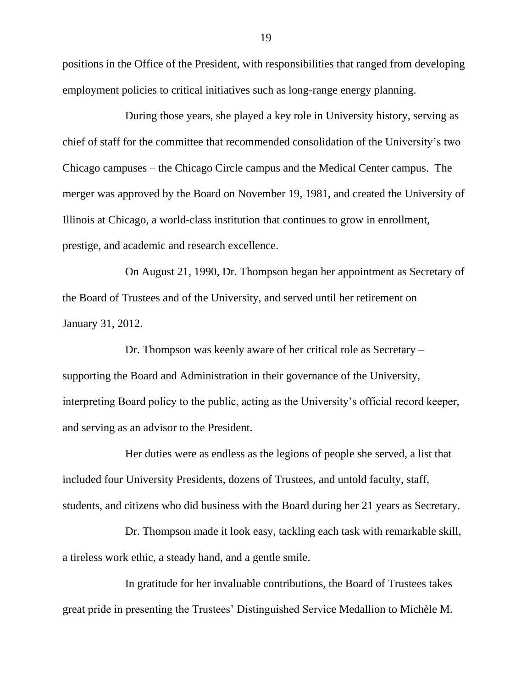positions in the Office of the President, with responsibilities that ranged from developing employment policies to critical initiatives such as long-range energy planning.

During those years, she played a key role in University history, serving as chief of staff for the committee that recommended consolidation of the University's two Chicago campuses – the Chicago Circle campus and the Medical Center campus. The merger was approved by the Board on November 19, 1981, and created the University of Illinois at Chicago, a world-class institution that continues to grow in enrollment, prestige, and academic and research excellence.

On August 21, 1990, Dr. Thompson began her appointment as Secretary of the Board of Trustees and of the University, and served until her retirement on January 31, 2012.

Dr. Thompson was keenly aware of her critical role as Secretary – supporting the Board and Administration in their governance of the University, interpreting Board policy to the public, acting as the University's official record keeper, and serving as an advisor to the President.

Her duties were as endless as the legions of people she served, a list that included four University Presidents, dozens of Trustees, and untold faculty, staff, students, and citizens who did business with the Board during her 21 years as Secretary.

Dr. Thompson made it look easy, tackling each task with remarkable skill, a tireless work ethic, a steady hand, and a gentle smile.

In gratitude for her invaluable contributions, the Board of Trustees takes great pride in presenting the Trustees' Distinguished Service Medallion to Michèle M.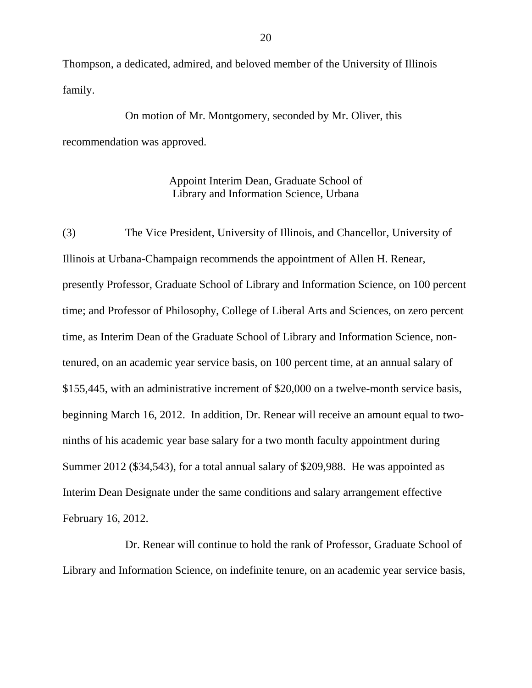Thompson, a dedicated, admired, and beloved member of the University of Illinois family.

On motion of Mr. Montgomery, seconded by Mr. Oliver, this recommendation was approved.

> Appoint Interim Dean, Graduate School of Library and Information Science, Urbana

(3) The Vice President, University of Illinois, and Chancellor, University of Illinois at Urbana-Champaign recommends the appointment of Allen H. Renear, presently Professor, Graduate School of Library and Information Science, on 100 percent time; and Professor of Philosophy, College of Liberal Arts and Sciences, on zero percent time, as Interim Dean of the Graduate School of Library and Information Science, nontenured, on an academic year service basis, on 100 percent time, at an annual salary of \$155,445, with an administrative increment of \$20,000 on a twelve-month service basis, beginning March 16, 2012. In addition, Dr. Renear will receive an amount equal to twoninths of his academic year base salary for a two month faculty appointment during Summer 2012 (\$34,543), for a total annual salary of \$209,988. He was appointed as Interim Dean Designate under the same conditions and salary arrangement effective February 16, 2012.

Dr. Renear will continue to hold the rank of Professor, Graduate School of Library and Information Science, on indefinite tenure, on an academic year service basis,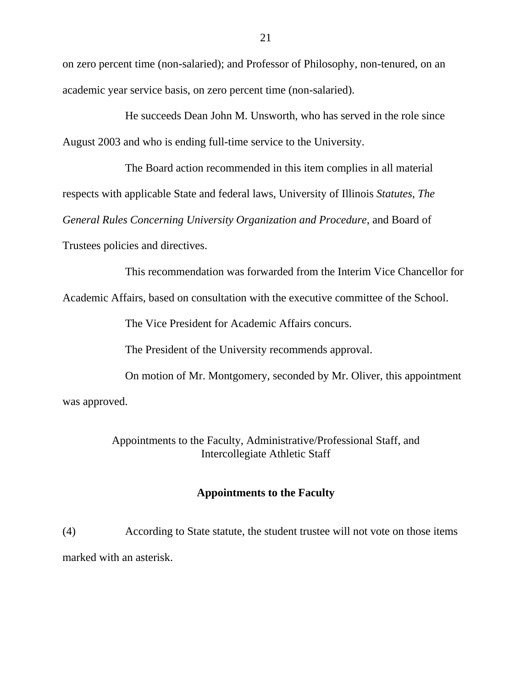on zero percent time (non-salaried); and Professor of Philosophy, non-tenured, on an academic year service basis, on zero percent time (non-salaried).

He succeeds Dean John M. Unsworth, who has served in the role since August 2003 and who is ending full-time service to the University.

The Board action recommended in this item complies in all material respects with applicable State and federal laws, University of Illinois *Statutes, The General Rules Concerning University Organization and Procedure*, and Board of Trustees policies and directives.

This recommendation was forwarded from the Interim Vice Chancellor for

Academic Affairs, based on consultation with the executive committee of the School.

The Vice President for Academic Affairs concurs.

The President of the University recommends approval.

On motion of Mr. Montgomery, seconded by Mr. Oliver, this appointment was approved.

> Appointments to the Faculty, Administrative/Professional Staff, and Intercollegiate Athletic Staff

#### **Appointments to the Faculty**

(4) According to State statute, the student trustee will not vote on those items marked with an asterisk.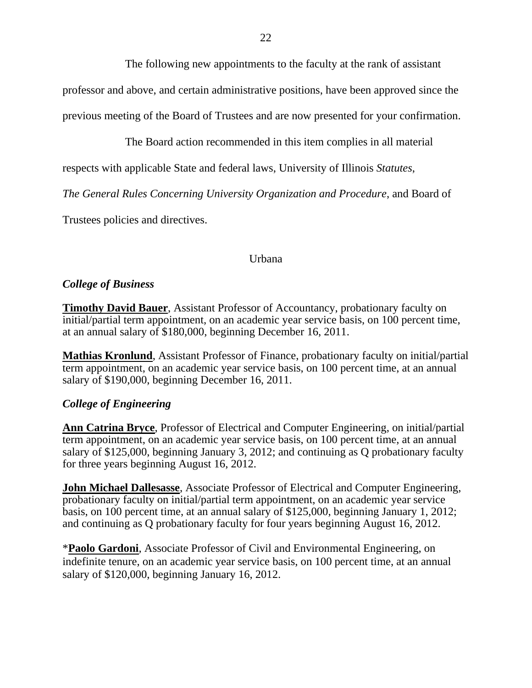The following new appointments to the faculty at the rank of assistant

professor and above, and certain administrative positions, have been approved since the

previous meeting of the Board of Trustees and are now presented for your confirmation.

The Board action recommended in this item complies in all material

respects with applicable State and federal laws, University of Illinois *Statutes*,

*The General Rules Concerning University Organization and Procedure*, and Board of

Trustees policies and directives.

### Urbana

## *College of Business*

**Timothy David Bauer**, Assistant Professor of Accountancy, probationary faculty on initial/partial term appointment, on an academic year service basis, on 100 percent time, at an annual salary of \$180,000, beginning December 16, 2011.

**Mathias Kronlund**, Assistant Professor of Finance, probationary faculty on initial/partial term appointment, on an academic year service basis, on 100 percent time, at an annual salary of \$190,000, beginning December 16, 2011.

## *College of Engineering*

**Ann Catrina Bryce**, Professor of Electrical and Computer Engineering, on initial/partial term appointment, on an academic year service basis, on 100 percent time, at an annual salary of \$125,000, beginning January 3, 2012; and continuing as Q probationary faculty for three years beginning August 16, 2012.

**John Michael Dallesasse**, Associate Professor of Electrical and Computer Engineering, probationary faculty on initial/partial term appointment, on an academic year service basis, on 100 percent time, at an annual salary of \$125,000, beginning January 1, 2012; and continuing as Q probationary faculty for four years beginning August 16, 2012.

\***Paolo Gardoni**, Associate Professor of Civil and Environmental Engineering, on indefinite tenure, on an academic year service basis, on 100 percent time, at an annual salary of \$120,000, beginning January 16, 2012.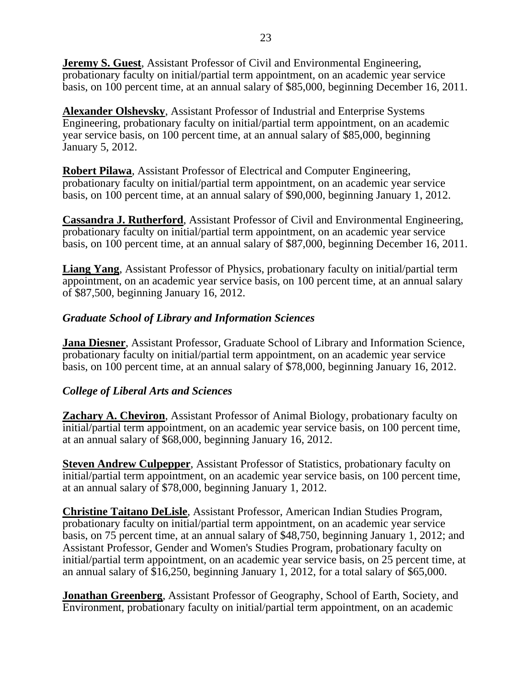**Jeremy S. Guest**, Assistant Professor of Civil and Environmental Engineering, probationary faculty on initial/partial term appointment, on an academic year service basis, on 100 percent time, at an annual salary of \$85,000, beginning December 16, 2011.

**Alexander Olshevsky**, Assistant Professor of Industrial and Enterprise Systems Engineering, probationary faculty on initial/partial term appointment, on an academic year service basis, on 100 percent time, at an annual salary of \$85,000, beginning January 5, 2012.

**Robert Pilawa**, Assistant Professor of Electrical and Computer Engineering, probationary faculty on initial/partial term appointment, on an academic year service basis, on 100 percent time, at an annual salary of \$90,000, beginning January 1, 2012.

**Cassandra J. Rutherford**, Assistant Professor of Civil and Environmental Engineering, probationary faculty on initial/partial term appointment, on an academic year service basis, on 100 percent time, at an annual salary of \$87,000, beginning December 16, 2011.

**Liang Yang**, Assistant Professor of Physics, probationary faculty on initial/partial term appointment, on an academic year service basis, on 100 percent time, at an annual salary of \$87,500, beginning January 16, 2012.

### *Graduate School of Library and Information Sciences*

**Jana Diesner**, Assistant Professor, Graduate School of Library and Information Science, probationary faculty on initial/partial term appointment, on an academic year service basis, on 100 percent time, at an annual salary of \$78,000, beginning January 16, 2012.

### *College of Liberal Arts and Sciences*

**Zachary A. Cheviron**, Assistant Professor of Animal Biology, probationary faculty on initial/partial term appointment, on an academic year service basis, on 100 percent time, at an annual salary of \$68,000, beginning January 16, 2012.

**Steven Andrew Culpepper**, Assistant Professor of Statistics, probationary faculty on initial/partial term appointment, on an academic year service basis, on 100 percent time, at an annual salary of \$78,000, beginning January 1, 2012.

**Christine Taitano DeLisle**, Assistant Professor, American Indian Studies Program, probationary faculty on initial/partial term appointment, on an academic year service basis, on 75 percent time, at an annual salary of \$48,750, beginning January 1, 2012; and Assistant Professor, Gender and Women's Studies Program, probationary faculty on initial/partial term appointment, on an academic year service basis, on 25 percent time, at an annual salary of \$16,250, beginning January 1, 2012, for a total salary of \$65,000.

**Jonathan Greenberg**, Assistant Professor of Geography, School of Earth, Society, and Environment, probationary faculty on initial/partial term appointment, on an academic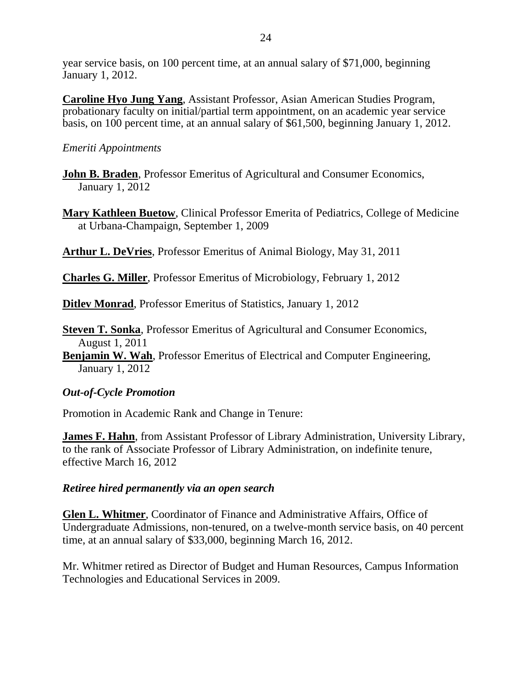year service basis, on 100 percent time, at an annual salary of \$71,000, beginning January 1, 2012.

**Caroline Hyo Jung Yang**, Assistant Professor, Asian American Studies Program, probationary faculty on initial/partial term appointment, on an academic year service basis, on 100 percent time, at an annual salary of \$61,500, beginning January 1, 2012.

## *Emeriti Appointments*

- **John B. Braden**, Professor Emeritus of Agricultural and Consumer Economics, January 1, 2012
- **Mary Kathleen Buetow**, Clinical Professor Emerita of Pediatrics, College of Medicine at Urbana-Champaign, September 1, 2009

**Arthur L. DeVries**, Professor Emeritus of Animal Biology, May 31, 2011

**Charles G. Miller**, Professor Emeritus of Microbiology, February 1, 2012

**Ditlev Monrad**, Professor Emeritus of Statistics, January 1, 2012

**Steven T. Sonka**, Professor Emeritus of Agricultural and Consumer Economics, August 1, 2011

**Benjamin W. Wah**, Professor Emeritus of Electrical and Computer Engineering, January 1, 2012

## *Out-of-Cycle Promotion*

Promotion in Academic Rank and Change in Tenure:

**James F. Hahn**, from Assistant Professor of Library Administration, University Library, to the rank of Associate Professor of Library Administration, on indefinite tenure, effective March 16, 2012

## *Retiree hired permanently via an open search*

**Glen L. Whitmer**, Coordinator of Finance and Administrative Affairs, Office of Undergraduate Admissions, non-tenured, on a twelve-month service basis, on 40 percent time, at an annual salary of \$33,000, beginning March 16, 2012.

Mr. Whitmer retired as Director of Budget and Human Resources, Campus Information Technologies and Educational Services in 2009.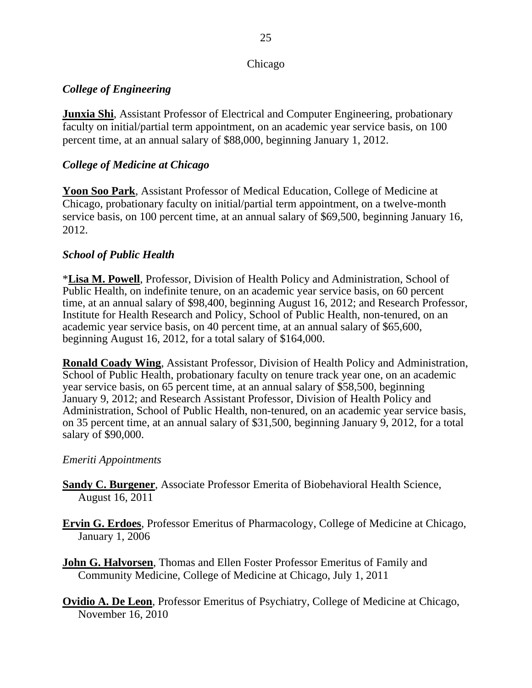### Chicago

## *College of Engineering*

**Junxia Shi**, Assistant Professor of Electrical and Computer Engineering, probationary faculty on initial/partial term appointment, on an academic year service basis, on 100 percent time, at an annual salary of \$88,000, beginning January 1, 2012.

## *College of Medicine at Chicago*

**Yoon Soo Park**, Assistant Professor of Medical Education, College of Medicine at Chicago, probationary faculty on initial/partial term appointment, on a twelve-month service basis, on 100 percent time, at an annual salary of \$69,500, beginning January 16, 2012.

## *School of Public Health*

\***Lisa M. Powell**, Professor, Division of Health Policy and Administration, School of Public Health, on indefinite tenure, on an academic year service basis, on 60 percent time, at an annual salary of \$98,400, beginning August 16, 2012; and Research Professor, Institute for Health Research and Policy, School of Public Health, non-tenured, on an academic year service basis, on 40 percent time, at an annual salary of \$65,600, beginning August 16, 2012, for a total salary of \$164,000.

**Ronald Coady Wing**, Assistant Professor, Division of Health Policy and Administration, School of Public Health, probationary faculty on tenure track year one, on an academic year service basis, on 65 percent time, at an annual salary of \$58,500, beginning January 9, 2012; and Research Assistant Professor, Division of Health Policy and Administration, School of Public Health, non-tenured, on an academic year service basis, on 35 percent time, at an annual salary of \$31,500, beginning January 9, 2012, for a total salary of \$90,000.

## *Emeriti Appointments*

- **Sandy C. Burgener**, Associate Professor Emerita of Biobehavioral Health Science, August 16, 2011
- **Ervin G. Erdoes**, Professor Emeritus of Pharmacology, College of Medicine at Chicago, January 1, 2006
- **John G. Halvorsen**, Thomas and Ellen Foster Professor Emeritus of Family and Community Medicine, College of Medicine at Chicago, July 1, 2011
- **Ovidio A. De Leon**, Professor Emeritus of Psychiatry, College of Medicine at Chicago, November 16, 2010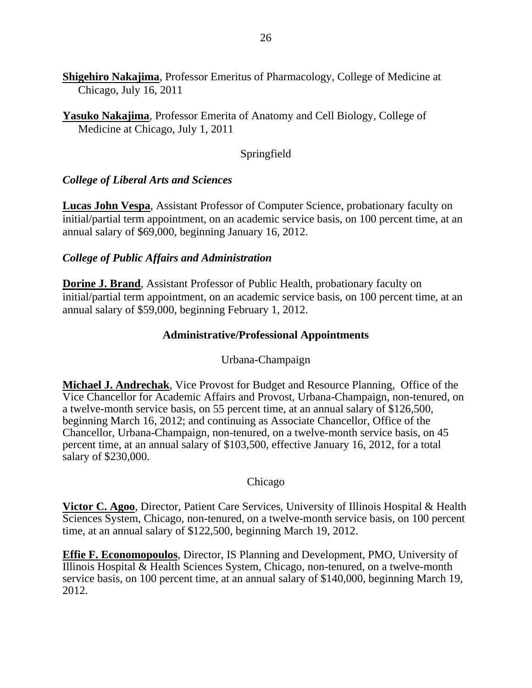**Shigehiro Nakajima**, Professor Emeritus of Pharmacology, College of Medicine at Chicago, July 16, 2011

**Yasuko Nakajima**, Professor Emerita of Anatomy and Cell Biology, College of Medicine at Chicago, July 1, 2011

## Springfield

## *College of Liberal Arts and Sciences*

**Lucas John Vespa**, Assistant Professor of Computer Science, probationary faculty on initial/partial term appointment, on an academic service basis, on 100 percent time, at an annual salary of \$69,000, beginning January 16, 2012.

### *College of Public Affairs and Administration*

**Dorine J. Brand**, Assistant Professor of Public Health, probationary faculty on initial/partial term appointment, on an academic service basis, on 100 percent time, at an annual salary of \$59,000, beginning February 1, 2012.

### **Administrative/Professional Appointments**

### Urbana-Champaign

**Michael J. Andrechak**, Vice Provost for Budget and Resource Planning, Office of the Vice Chancellor for Academic Affairs and Provost, Urbana-Champaign, non-tenured, on a twelve-month service basis, on 55 percent time, at an annual salary of \$126,500, beginning March 16, 2012; and continuing as Associate Chancellor, Office of the Chancellor, Urbana-Champaign, non-tenured, on a twelve-month service basis, on 45 percent time, at an annual salary of \$103,500, effective January 16, 2012, for a total salary of \$230,000.

### Chicago

**Victor C. Agoo**, Director, Patient Care Services, University of Illinois Hospital & Health Sciences System, Chicago, non-tenured, on a twelve-month service basis, on 100 percent time, at an annual salary of \$122,500, beginning March 19, 2012.

**Effie F. Economopoulos**, Director, IS Planning and Development, PMO, University of Illinois Hospital & Health Sciences System, Chicago, non-tenured, on a twelve-month service basis, on 100 percent time, at an annual salary of \$140,000, beginning March 19, 2012.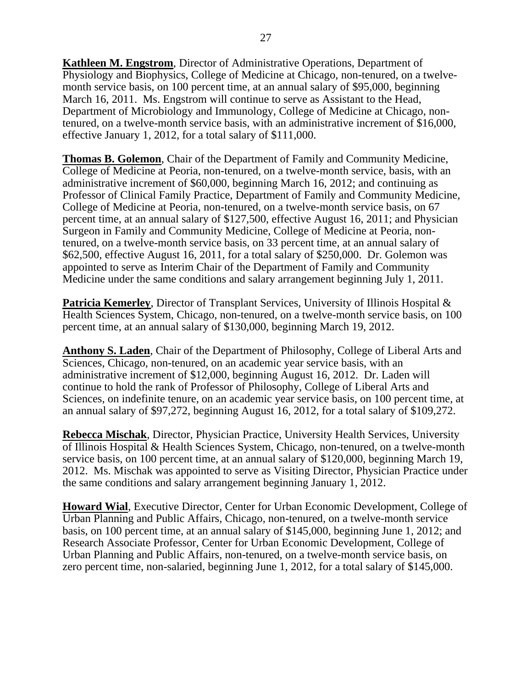**Kathleen M. Engstrom**, Director of Administrative Operations, Department of Physiology and Biophysics, College of Medicine at Chicago, non-tenured, on a twelvemonth service basis, on 100 percent time, at an annual salary of \$95,000, beginning March 16, 2011. Ms. Engstrom will continue to serve as Assistant to the Head, Department of Microbiology and Immunology, College of Medicine at Chicago, nontenured, on a twelve-month service basis, with an administrative increment of \$16,000, effective January 1, 2012, for a total salary of \$111,000.

**Thomas B. Golemon**, Chair of the Department of Family and Community Medicine, College of Medicine at Peoria, non-tenured, on a twelve-month service, basis, with an administrative increment of \$60,000, beginning March 16, 2012; and continuing as Professor of Clinical Family Practice, Department of Family and Community Medicine, College of Medicine at Peoria, non-tenured, on a twelve-month service basis, on 67 percent time, at an annual salary of \$127,500, effective August 16, 2011; and Physician Surgeon in Family and Community Medicine, College of Medicine at Peoria, nontenured, on a twelve-month service basis, on 33 percent time, at an annual salary of \$62,500, effective August 16, 2011, for a total salary of \$250,000. Dr. Golemon was appointed to serve as Interim Chair of the Department of Family and Community Medicine under the same conditions and salary arrangement beginning July 1, 2011.

**Patricia Kemerley, Director of Transplant Services, University of Illinois Hospital &** Health Sciences System, Chicago, non-tenured, on a twelve-month service basis, on 100 percent time, at an annual salary of \$130,000, beginning March 19, 2012.

**Anthony S. Laden**, Chair of the Department of Philosophy, College of Liberal Arts and Sciences, Chicago, non-tenured, on an academic year service basis, with an administrative increment of \$12,000, beginning August 16, 2012. Dr. Laden will continue to hold the rank of Professor of Philosophy, College of Liberal Arts and Sciences, on indefinite tenure, on an academic year service basis, on 100 percent time, at an annual salary of \$97,272, beginning August 16, 2012, for a total salary of \$109,272.

**Rebecca Mischak**, Director, Physician Practice, University Health Services, University of Illinois Hospital & Health Sciences System, Chicago, non-tenured, on a twelve-month service basis, on 100 percent time, at an annual salary of \$120,000, beginning March 19, 2012. Ms. Mischak was appointed to serve as Visiting Director, Physician Practice under the same conditions and salary arrangement beginning January 1, 2012.

**Howard Wial**, Executive Director, Center for Urban Economic Development, College of Urban Planning and Public Affairs, Chicago, non-tenured, on a twelve-month service basis, on 100 percent time, at an annual salary of \$145,000, beginning June 1, 2012; and Research Associate Professor, Center for Urban Economic Development, College of Urban Planning and Public Affairs, non-tenured, on a twelve-month service basis, on zero percent time, non-salaried, beginning June 1, 2012, for a total salary of \$145,000.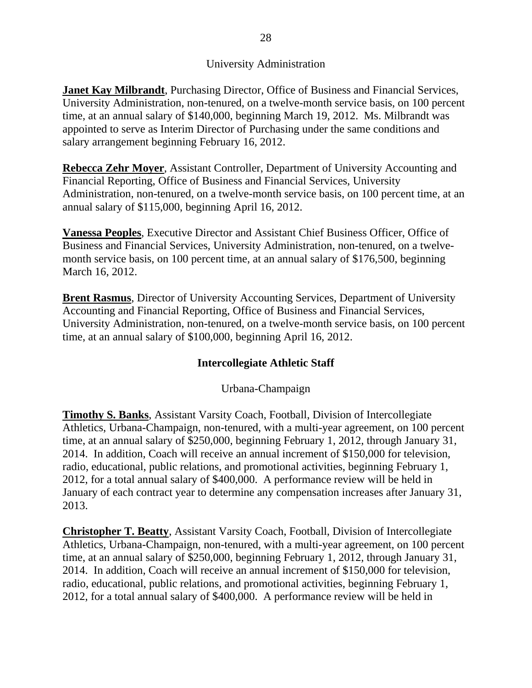## University Administration

**Janet Kay Milbrandt**, Purchasing Director, Office of Business and Financial Services, University Administration, non-tenured, on a twelve-month service basis, on 100 percent time, at an annual salary of \$140,000, beginning March 19, 2012. Ms. Milbrandt was appointed to serve as Interim Director of Purchasing under the same conditions and salary arrangement beginning February 16, 2012.

**Rebecca Zehr Moyer**, Assistant Controller, Department of University Accounting and Financial Reporting, Office of Business and Financial Services, University Administration, non-tenured, on a twelve-month service basis, on 100 percent time, at an annual salary of \$115,000, beginning April 16, 2012.

**Vanessa Peoples**, Executive Director and Assistant Chief Business Officer, Office of Business and Financial Services, University Administration, non-tenured, on a twelvemonth service basis, on 100 percent time, at an annual salary of \$176,500, beginning March 16, 2012.

**Brent Rasmus**, Director of University Accounting Services, Department of University Accounting and Financial Reporting, Office of Business and Financial Services, University Administration, non-tenured, on a twelve-month service basis, on 100 percent time, at an annual salary of \$100,000, beginning April 16, 2012.

## **Intercollegiate Athletic Staff**

Urbana-Champaign

**Timothy S. Banks**, Assistant Varsity Coach, Football, Division of Intercollegiate Athletics, Urbana-Champaign, non-tenured, with a multi-year agreement, on 100 percent time, at an annual salary of \$250,000, beginning February 1, 2012, through January 31, 2014. In addition, Coach will receive an annual increment of \$150,000 for television, radio, educational, public relations, and promotional activities, beginning February 1, 2012, for a total annual salary of \$400,000. A performance review will be held in January of each contract year to determine any compensation increases after January 31, 2013.

**Christopher T. Beatty**, Assistant Varsity Coach, Football, Division of Intercollegiate Athletics, Urbana-Champaign, non-tenured, with a multi-year agreement, on 100 percent time, at an annual salary of \$250,000, beginning February 1, 2012, through January 31, 2014. In addition, Coach will receive an annual increment of \$150,000 for television, radio, educational, public relations, and promotional activities, beginning February 1, 2012, for a total annual salary of \$400,000. A performance review will be held in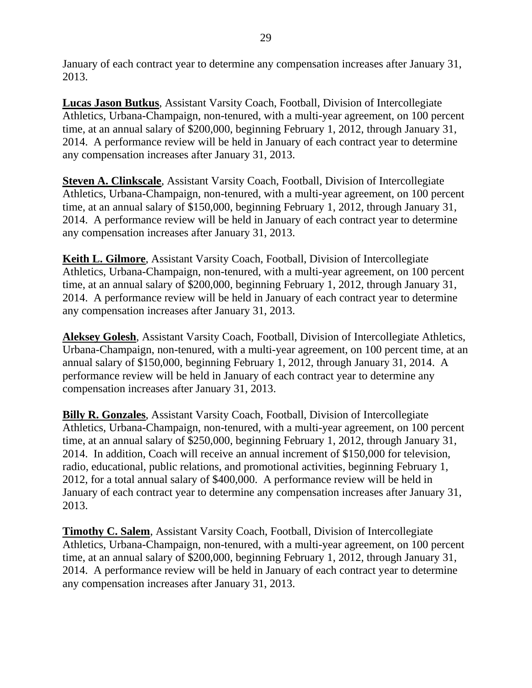January of each contract year to determine any compensation increases after January 31, 2013.

**Lucas Jason Butkus**, Assistant Varsity Coach, Football, Division of Intercollegiate Athletics, Urbana-Champaign, non-tenured, with a multi-year agreement, on 100 percent time, at an annual salary of \$200,000, beginning February 1, 2012, through January 31, 2014. A performance review will be held in January of each contract year to determine any compensation increases after January 31, 2013.

**Steven A. Clinkscale**, Assistant Varsity Coach, Football, Division of Intercollegiate Athletics, Urbana-Champaign, non-tenured, with a multi-year agreement, on 100 percent time, at an annual salary of \$150,000, beginning February 1, 2012, through January 31, 2014. A performance review will be held in January of each contract year to determine any compensation increases after January 31, 2013.

**Keith L. Gilmore**, Assistant Varsity Coach, Football, Division of Intercollegiate Athletics, Urbana-Champaign, non-tenured, with a multi-year agreement, on 100 percent time, at an annual salary of \$200,000, beginning February 1, 2012, through January 31, 2014. A performance review will be held in January of each contract year to determine any compensation increases after January 31, 2013.

**Aleksey Golesh**, Assistant Varsity Coach, Football, Division of Intercollegiate Athletics, Urbana-Champaign, non-tenured, with a multi-year agreement, on 100 percent time, at an annual salary of \$150,000, beginning February 1, 2012, through January 31, 2014. A performance review will be held in January of each contract year to determine any compensation increases after January 31, 2013.

**Billy R. Gonzales**, Assistant Varsity Coach, Football, Division of Intercollegiate Athletics, Urbana-Champaign, non-tenured, with a multi-year agreement, on 100 percent time, at an annual salary of \$250,000, beginning February 1, 2012, through January 31, 2014. In addition, Coach will receive an annual increment of \$150,000 for television, radio, educational, public relations, and promotional activities, beginning February 1, 2012, for a total annual salary of \$400,000. A performance review will be held in January of each contract year to determine any compensation increases after January 31, 2013.

**Timothy C. Salem**, Assistant Varsity Coach, Football, Division of Intercollegiate Athletics, Urbana-Champaign, non-tenured, with a multi-year agreement, on 100 percent time, at an annual salary of \$200,000, beginning February 1, 2012, through January 31, 2014. A performance review will be held in January of each contract year to determine any compensation increases after January 31, 2013.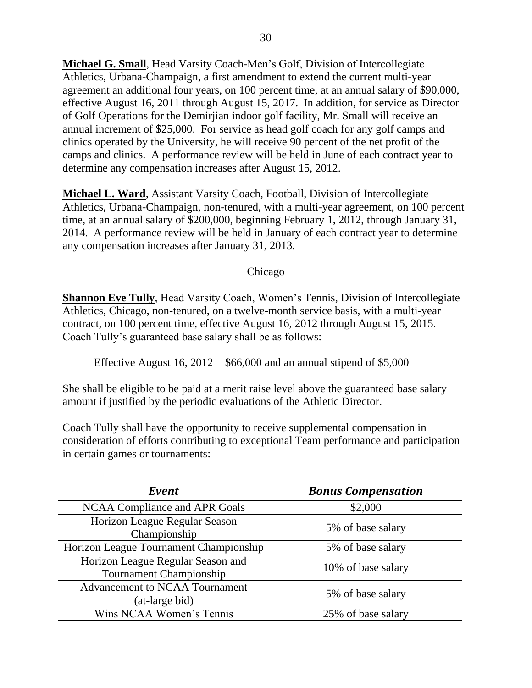**Michael G. Small**, Head Varsity Coach-Men's Golf, Division of Intercollegiate Athletics, Urbana-Champaign, a first amendment to extend the current multi-year agreement an additional four years, on 100 percent time, at an annual salary of \$90,000, effective August 16, 2011 through August 15, 2017. In addition, for service as Director of Golf Operations for the Demirjian indoor golf facility, Mr. Small will receive an annual increment of \$25,000. For service as head golf coach for any golf camps and clinics operated by the University, he will receive 90 percent of the net profit of the camps and clinics. A performance review will be held in June of each contract year to determine any compensation increases after August 15, 2012.

**Michael L. Ward**, Assistant Varsity Coach, Football, Division of Intercollegiate Athletics, Urbana-Champaign, non-tenured, with a multi-year agreement, on 100 percent time, at an annual salary of \$200,000, beginning February 1, 2012, through January 31, 2014. A performance review will be held in January of each contract year to determine any compensation increases after January 31, 2013.

Chicago

**Shannon Eve Tully**, Head Varsity Coach, Women's Tennis, Division of Intercollegiate Athletics, Chicago, non-tenured, on a twelve-month service basis, with a multi-year contract, on 100 percent time, effective August 16, 2012 through August 15, 2015. Coach Tully's guaranteed base salary shall be as follows:

Effective August 16, 2012 \$66,000 and an annual stipend of \$5,000

She shall be eligible to be paid at a merit raise level above the guaranteed base salary amount if justified by the periodic evaluations of the Athletic Director.

Coach Tully shall have the opportunity to receive supplemental compensation in consideration of efforts contributing to exceptional Team performance and participation in certain games or tournaments:

| Event                                                               | <b>Bonus Compensation</b> |
|---------------------------------------------------------------------|---------------------------|
| NCAA Compliance and APR Goals                                       | \$2,000                   |
| Horizon League Regular Season<br>Championship                       | 5% of base salary         |
| Horizon League Tournament Championship                              | 5% of base salary         |
| Horizon League Regular Season and<br><b>Tournament Championship</b> | 10% of base salary        |
| <b>Advancement to NCAA Tournament</b><br>(at-large bid)             | 5% of base salary         |
| Wins NCAA Women's Tennis                                            | 25% of base salary        |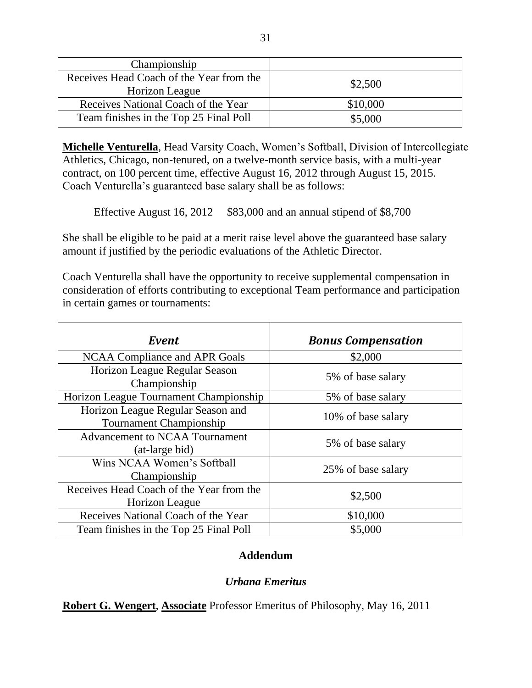| Championship                             |          |
|------------------------------------------|----------|
| Receives Head Coach of the Year from the | \$2,500  |
| Horizon League                           |          |
| Receives National Coach of the Year      | \$10,000 |
| Team finishes in the Top 25 Final Poll   | \$5,000  |

**Michelle Venturella**, Head Varsity Coach, Women's Softball, Division of Intercollegiate Athletics, Chicago, non-tenured, on a twelve-month service basis, with a multi-year contract, on 100 percent time, effective August 16, 2012 through August 15, 2015. Coach Venturella's guaranteed base salary shall be as follows:

Effective August 16, 2012 \$83,000 and an annual stipend of \$8,700

She shall be eligible to be paid at a merit raise level above the guaranteed base salary amount if justified by the periodic evaluations of the Athletic Director.

Coach Venturella shall have the opportunity to receive supplemental compensation in consideration of efforts contributing to exceptional Team performance and participation in certain games or tournaments:

| Event                                                        | <b>Bonus Compensation</b> |
|--------------------------------------------------------------|---------------------------|
| NCAA Compliance and APR Goals                                | \$2,000                   |
| Horizon League Regular Season<br>Championship                | 5% of base salary         |
| Horizon League Tournament Championship                       | 5% of base salary         |
| Horizon League Regular Season and<br>Tournament Championship | 10% of base salary        |
| <b>Advancement to NCAA Tournament</b><br>(at-large bid)      | 5% of base salary         |
| Wins NCAA Women's Softball<br>Championship                   | 25% of base salary        |
| Receives Head Coach of the Year from the<br>Horizon League   | \$2,500                   |
| Receives National Coach of the Year                          | \$10,000                  |
| Team finishes in the Top 25 Final Poll                       | \$5,000                   |

## **Addendum**

# *Urbana Emeritus*

**Robert G. Wengert**, **Associate** Professor Emeritus of Philosophy, May 16, 2011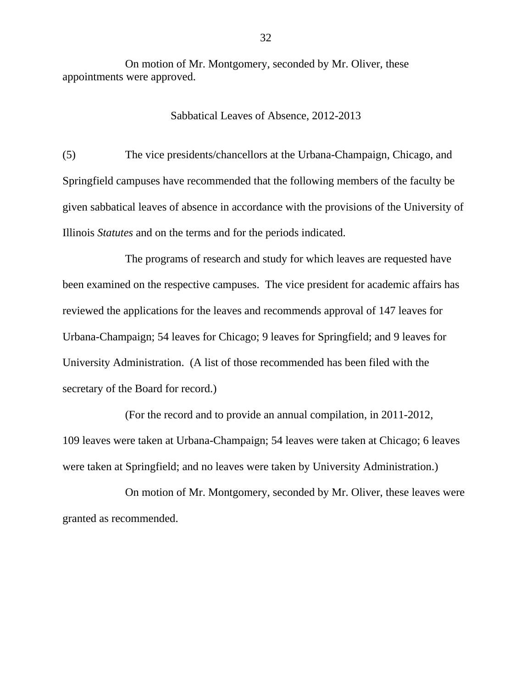On motion of Mr. Montgomery, seconded by Mr. Oliver, these appointments were approved.

Sabbatical Leaves of Absence, 2012-2013

(5) The vice presidents/chancellors at the Urbana-Champaign, Chicago, and Springfield campuses have recommended that the following members of the faculty be given sabbatical leaves of absence in accordance with the provisions of the University of Illinois *Statutes* and on the terms and for the periods indicated.

The programs of research and study for which leaves are requested have been examined on the respective campuses. The vice president for academic affairs has reviewed the applications for the leaves and recommends approval of 147 leaves for Urbana-Champaign; 54 leaves for Chicago; 9 leaves for Springfield; and 9 leaves for University Administration. (A list of those recommended has been filed with the secretary of the Board for record.)

(For the record and to provide an annual compilation, in 2011-2012, 109 leaves were taken at Urbana-Champaign; 54 leaves were taken at Chicago; 6 leaves were taken at Springfield; and no leaves were taken by University Administration.)

On motion of Mr. Montgomery, seconded by Mr. Oliver, these leaves were granted as recommended.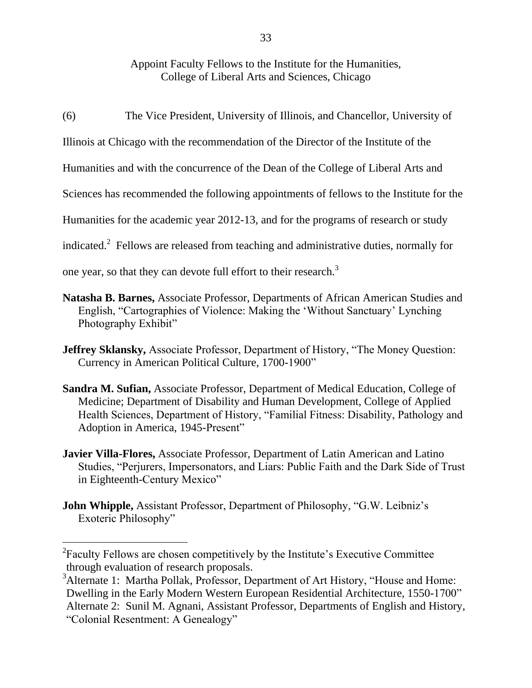## Appoint Faculty Fellows to the Institute for the Humanities, College of Liberal Arts and Sciences, Chicago

(6) The Vice President, University of Illinois, and Chancellor, University of

Illinois at Chicago with the recommendation of the Director of the Institute of the

Humanities and with the concurrence of the Dean of the College of Liberal Arts and

Sciences has recommended the following appointments of fellows to the Institute for the

Humanities for the academic year 2012-13, and for the programs of research or study

indicated.<sup>2</sup> Fellows are released from teaching and administrative duties, normally for

one year, so that they can devote full effort to their research.<sup>3</sup>

- **Natasha B. Barnes,** Associate Professor, Departments of African American Studies and English, "Cartographies of Violence: Making the 'Without Sanctuary' Lynching Photography Exhibit"
- **Jeffrey Sklansky,** Associate Professor, Department of History, "The Money Question: Currency in American Political Culture, 1700-1900"
- **Sandra M. Sufian,** Associate Professor, Department of Medical Education, College of Medicine; Department of Disability and Human Development, College of Applied Health Sciences, Department of History, "Familial Fitness: Disability, Pathology and Adoption in America, 1945-Present"
- **Javier Villa-Flores,** Associate Professor, Department of Latin American and Latino Studies, "Perjurers, Impersonators, and Liars: Public Faith and the Dark Side of Trust in Eighteenth-Century Mexico"
- **John Whipple,** Assistant Professor, Department of Philosophy, "G.W. Leibniz's Exoteric Philosophy"

 $\overline{a}$ 

 ${}^{2}$ Faculty Fellows are chosen competitively by the Institute's Executive Committee through evaluation of research proposals.

<sup>&</sup>lt;sup>3</sup>Alternate 1: Martha Pollak, Professor, Department of Art History, "House and Home: Dwelling in the Early Modern Western European Residential Architecture, 1550-1700" Alternate 2: Sunil M. Agnani, Assistant Professor, Departments of English and History,

<sup>&</sup>quot;Colonial Resentment: A Genealogy"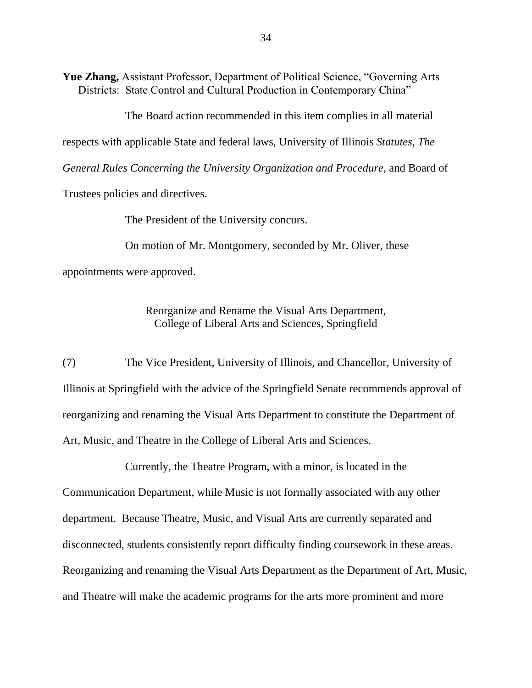**Yue Zhang,** Assistant Professor, Department of Political Science, "Governing Arts Districts: State Control and Cultural Production in Contemporary China"

The Board action recommended in this item complies in all material respects with applicable State and federal laws, University of Illinois *Statutes*, *The General Rules Concerning the University Organization and Procedure*, and Board of

Trustees policies and directives.

The President of the University concurs.

On motion of Mr. Montgomery, seconded by Mr. Oliver, these appointments were approved.

> Reorganize and Rename the Visual Arts Department, College of Liberal Arts and Sciences, Springfield

(7) The Vice President, University of Illinois, and Chancellor, University of Illinois at Springfield with the advice of the Springfield Senate recommends approval of reorganizing and renaming the Visual Arts Department to constitute the Department of Art, Music, and Theatre in the College of Liberal Arts and Sciences.

Currently, the Theatre Program, with a minor, is located in the Communication Department, while Music is not formally associated with any other department. Because Theatre, Music, and Visual Arts are currently separated and disconnected, students consistently report difficulty finding coursework in these areas. Reorganizing and renaming the Visual Arts Department as the Department of Art, Music, and Theatre will make the academic programs for the arts more prominent and more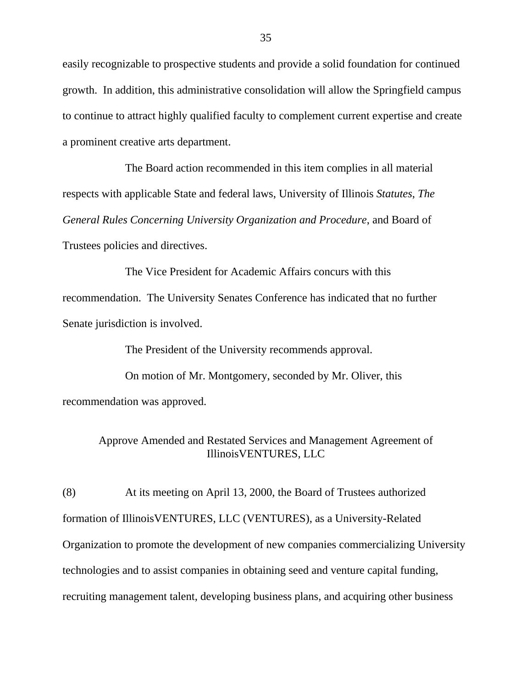easily recognizable to prospective students and provide a solid foundation for continued growth. In addition, this administrative consolidation will allow the Springfield campus to continue to attract highly qualified faculty to complement current expertise and create a prominent creative arts department.

The Board action recommended in this item complies in all material respects with applicable State and federal laws, University of Illinois *Statutes*, *The General Rules Concerning University Organization and Procedure*, and Board of Trustees policies and directives.

The Vice President for Academic Affairs concurs with this recommendation. The University Senates Conference has indicated that no further Senate jurisdiction is involved.

The President of the University recommends approval.

On motion of Mr. Montgomery, seconded by Mr. Oliver, this recommendation was approved.

> Approve Amended and Restated Services and Management Agreement of IllinoisVENTURES, LLC

(8) At its meeting on April 13, 2000, the Board of Trustees authorized formation of IllinoisVENTURES, LLC (VENTURES), as a University-Related Organization to promote the development of new companies commercializing University technologies and to assist companies in obtaining seed and venture capital funding, recruiting management talent, developing business plans, and acquiring other business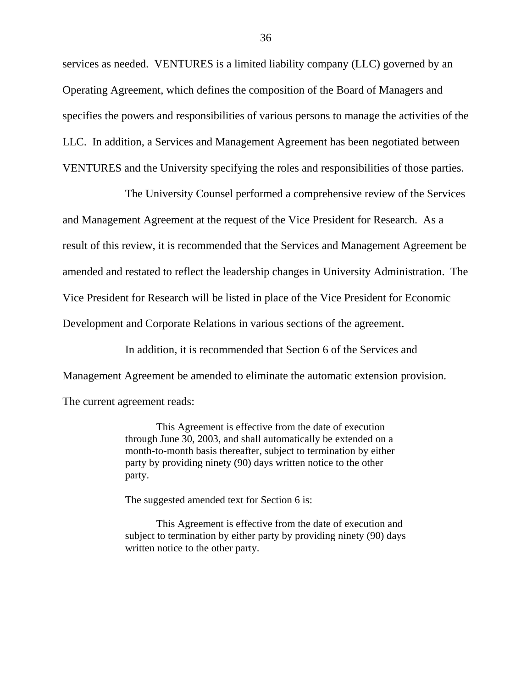services as needed. VENTURES is a limited liability company (LLC) governed by an Operating Agreement, which defines the composition of the Board of Managers and specifies the powers and responsibilities of various persons to manage the activities of the LLC. In addition, a Services and Management Agreement has been negotiated between VENTURES and the University specifying the roles and responsibilities of those parties.

The University Counsel performed a comprehensive review of the Services and Management Agreement at the request of the Vice President for Research. As a result of this review, it is recommended that the Services and Management Agreement be amended and restated to reflect the leadership changes in University Administration. The Vice President for Research will be listed in place of the Vice President for Economic Development and Corporate Relations in various sections of the agreement.

In addition, it is recommended that Section 6 of the Services and Management Agreement be amended to eliminate the automatic extension provision. The current agreement reads:

> This Agreement is effective from the date of execution through June 30, 2003, and shall automatically be extended on a month-to-month basis thereafter, subject to termination by either party by providing ninety (90) days written notice to the other party.

The suggested amended text for Section 6 is:

This Agreement is effective from the date of execution and subject to termination by either party by providing ninety (90) days written notice to the other party.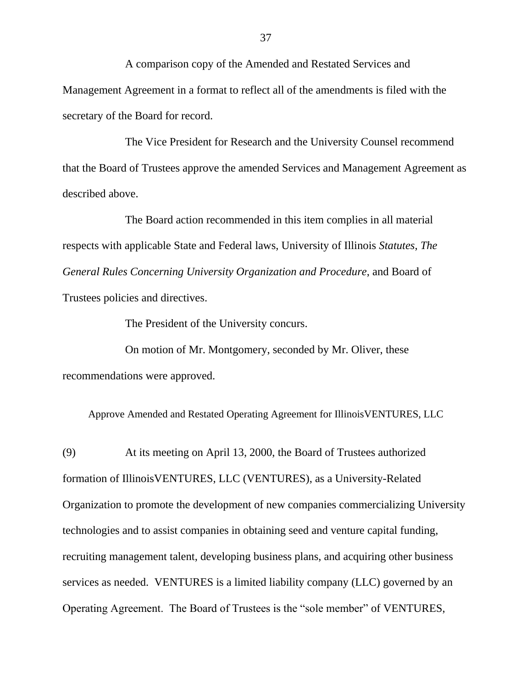A comparison copy of the Amended and Restated Services and Management Agreement in a format to reflect all of the amendments is filed with the secretary of the Board for record.

The Vice President for Research and the University Counsel recommend that the Board of Trustees approve the amended Services and Management Agreement as described above.

The Board action recommended in this item complies in all material respects with applicable State and Federal laws, University of Illinois *Statutes*, *The General Rules Concerning University Organization and Procedure*, and Board of Trustees policies and directives.

The President of the University concurs.

On motion of Mr. Montgomery, seconded by Mr. Oliver, these recommendations were approved.

Approve Amended and Restated Operating Agreement for IllinoisVENTURES, LLC

(9) At its meeting on April 13, 2000, the Board of Trustees authorized formation of IllinoisVENTURES, LLC (VENTURES), as a University-Related Organization to promote the development of new companies commercializing University technologies and to assist companies in obtaining seed and venture capital funding, recruiting management talent, developing business plans, and acquiring other business services as needed. VENTURES is a limited liability company (LLC) governed by an Operating Agreement. The Board of Trustees is the "sole member" of VENTURES,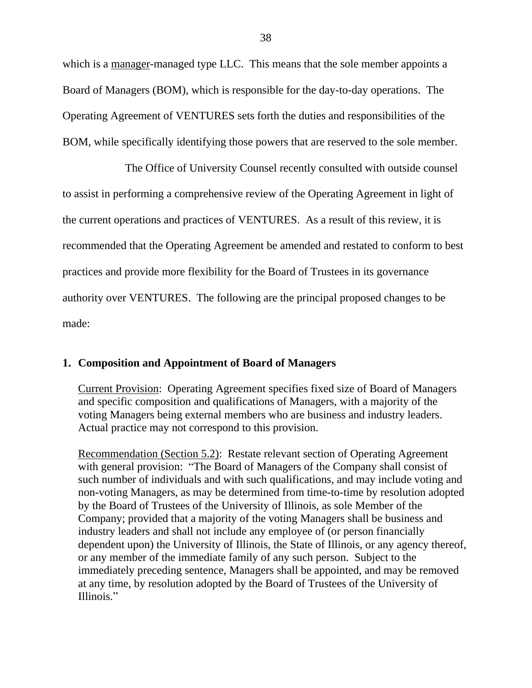which is a manager-managed type LLC. This means that the sole member appoints a Board of Managers (BOM), which is responsible for the day-to-day operations. The Operating Agreement of VENTURES sets forth the duties and responsibilities of the BOM, while specifically identifying those powers that are reserved to the sole member.

The Office of University Counsel recently consulted with outside counsel to assist in performing a comprehensive review of the Operating Agreement in light of the current operations and practices of VENTURES. As a result of this review, it is recommended that the Operating Agreement be amended and restated to conform to best practices and provide more flexibility for the Board of Trustees in its governance authority over VENTURES. The following are the principal proposed changes to be made:

### **1. Composition and Appointment of Board of Managers**

Current Provision: Operating Agreement specifies fixed size of Board of Managers and specific composition and qualifications of Managers, with a majority of the voting Managers being external members who are business and industry leaders. Actual practice may not correspond to this provision.

Recommendation (Section 5.2): Restate relevant section of Operating Agreement with general provision: "The Board of Managers of the Company shall consist of such number of individuals and with such qualifications, and may include voting and non-voting Managers, as may be determined from time-to-time by resolution adopted by the Board of Trustees of the University of Illinois, as sole Member of the Company; provided that a majority of the voting Managers shall be business and industry leaders and shall not include any employee of (or person financially dependent upon) the University of Illinois, the State of Illinois, or any agency thereof, or any member of the immediate family of any such person. Subject to the immediately preceding sentence, Managers shall be appointed, and may be removed at any time, by resolution adopted by the Board of Trustees of the University of Illinois."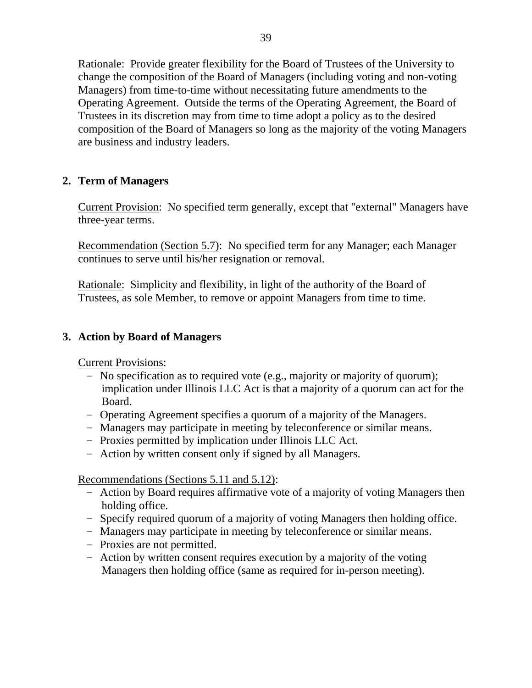Rationale: Provide greater flexibility for the Board of Trustees of the University to change the composition of the Board of Managers (including voting and non-voting Managers) from time-to-time without necessitating future amendments to the Operating Agreement. Outside the terms of the Operating Agreement, the Board of Trustees in its discretion may from time to time adopt a policy as to the desired composition of the Board of Managers so long as the majority of the voting Managers are business and industry leaders.

## **2. Term of Managers**

Current Provision: No specified term generally, except that "external" Managers have three-year terms.

Recommendation (Section 5.7): No specified term for any Manager; each Manager continues to serve until his/her resignation or removal.

Rationale: Simplicity and flexibility, in light of the authority of the Board of Trustees, as sole Member, to remove or appoint Managers from time to time.

## **3. Action by Board of Managers**

Current Provisions:

- No specification as to required vote (e.g., majority or majority of quorum); implication under Illinois LLC Act is that a majority of a quorum can act for the Board.
- Operating Agreement specifies a quorum of a majority of the Managers.
- Managers may participate in meeting by teleconference or similar means.
- Proxies permitted by implication under Illinois LLC Act.
- Action by written consent only if signed by all Managers.

Recommendations (Sections 5.11 and 5.12):

- Action by Board requires affirmative vote of a majority of voting Managers then holding office.
- Specify required quorum of a majority of voting Managers then holding office.
- Managers may participate in meeting by teleconference or similar means.
- Proxies are not permitted.
- Action by written consent requires execution by a majority of the voting Managers then holding office (same as required for in-person meeting).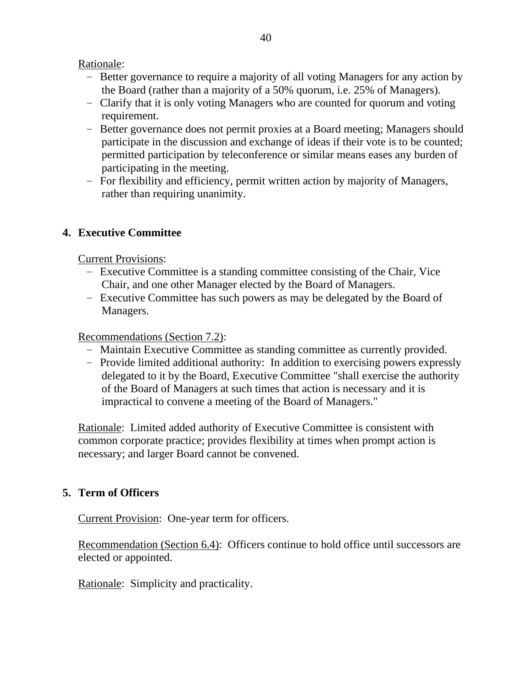## Rationale:

- Better governance to require a majority of all voting Managers for any action by the Board (rather than a majority of a 50% quorum, i.e. 25% of Managers).
- Clarify that it is only voting Managers who are counted for quorum and voting requirement.
- Better governance does not permit proxies at a Board meeting; Managers should participate in the discussion and exchange of ideas if their vote is to be counted; permitted participation by teleconference or similar means eases any burden of participating in the meeting.
- For flexibility and efficiency, permit written action by majority of Managers, rather than requiring unanimity.

## **4. Executive Committee**

Current Provisions:

- Executive Committee is a standing committee consisting of the Chair, Vice Chair, and one other Manager elected by the Board of Managers.
- Executive Committee has such powers as may be delegated by the Board of Managers.

### Recommendations (Section 7.2):

- Maintain Executive Committee as standing committee as currently provided.
- Provide limited additional authority: In addition to exercising powers expressly delegated to it by the Board, Executive Committee "shall exercise the authority of the Board of Managers at such times that action is necessary and it is impractical to convene a meeting of the Board of Managers."

Rationale: Limited added authority of Executive Committee is consistent with common corporate practice; provides flexibility at times when prompt action is necessary; and larger Board cannot be convened.

## **5. Term of Officers**

Current Provision: One-year term for officers.

Recommendation (Section 6.4): Officers continue to hold office until successors are elected or appointed.

Rationale: Simplicity and practicality.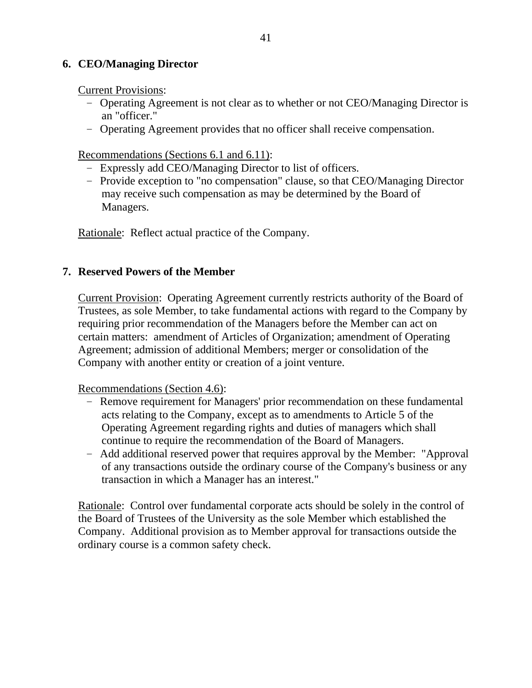## **6. CEO/Managing Director**

Current Provisions:

- Operating Agreement is not clear as to whether or not CEO/Managing Director is an "officer."
- Operating Agreement provides that no officer shall receive compensation.

Recommendations (Sections 6.1 and 6.11):

- Expressly add CEO/Managing Director to list of officers.
- Provide exception to "no compensation" clause, so that CEO/Managing Director may receive such compensation as may be determined by the Board of Managers.

Rationale: Reflect actual practice of the Company.

## **7. Reserved Powers of the Member**

Current Provision: Operating Agreement currently restricts authority of the Board of Trustees, as sole Member, to take fundamental actions with regard to the Company by requiring prior recommendation of the Managers before the Member can act on certain matters: amendment of Articles of Organization; amendment of Operating Agreement; admission of additional Members; merger or consolidation of the Company with another entity or creation of a joint venture.

Recommendations (Section 4.6):

- Remove requirement for Managers' prior recommendation on these fundamental acts relating to the Company, except as to amendments to Article 5 of the Operating Agreement regarding rights and duties of managers which shall continue to require the recommendation of the Board of Managers.
- Add additional reserved power that requires approval by the Member: "Approval of any transactions outside the ordinary course of the Company's business or any transaction in which a Manager has an interest."

Rationale: Control over fundamental corporate acts should be solely in the control of the Board of Trustees of the University as the sole Member which established the Company. Additional provision as to Member approval for transactions outside the ordinary course is a common safety check.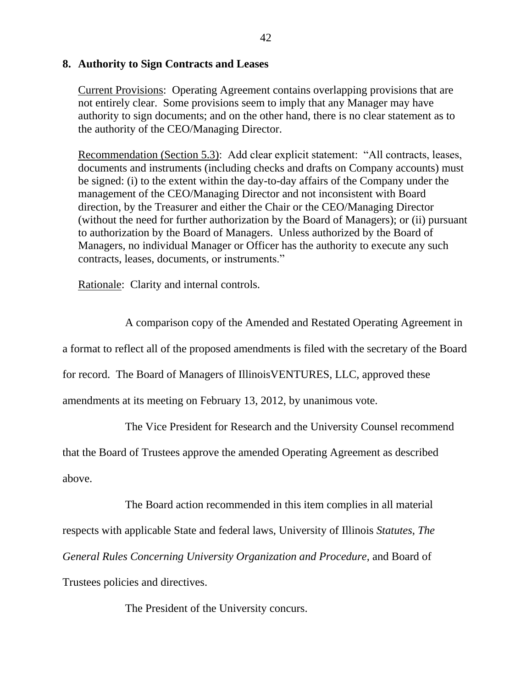### **8. Authority to Sign Contracts and Leases**

Current Provisions: Operating Agreement contains overlapping provisions that are not entirely clear. Some provisions seem to imply that any Manager may have authority to sign documents; and on the other hand, there is no clear statement as to the authority of the CEO/Managing Director.

Recommendation (Section 5.3): Add clear explicit statement: "All contracts, leases, documents and instruments (including checks and drafts on Company accounts) must be signed: (i) to the extent within the day-to-day affairs of the Company under the management of the CEO/Managing Director and not inconsistent with Board direction, by the Treasurer and either the Chair or the CEO/Managing Director (without the need for further authorization by the Board of Managers); or (ii) pursuant to authorization by the Board of Managers. Unless authorized by the Board of Managers, no individual Manager or Officer has the authority to execute any such contracts, leases, documents, or instruments."

Rationale: Clarity and internal controls.

A comparison copy of the Amended and Restated Operating Agreement in a format to reflect all of the proposed amendments is filed with the secretary of the Board for record. The Board of Managers of IllinoisVENTURES, LLC, approved these amendments at its meeting on February 13, 2012, by unanimous vote.

The Vice President for Research and the University Counsel recommend

that the Board of Trustees approve the amended Operating Agreement as described above.

The Board action recommended in this item complies in all material respects with applicable State and federal laws, University of Illinois *Statutes*, *The General Rules Concerning University Organization and Procedure*, and Board of Trustees policies and directives.

The President of the University concurs.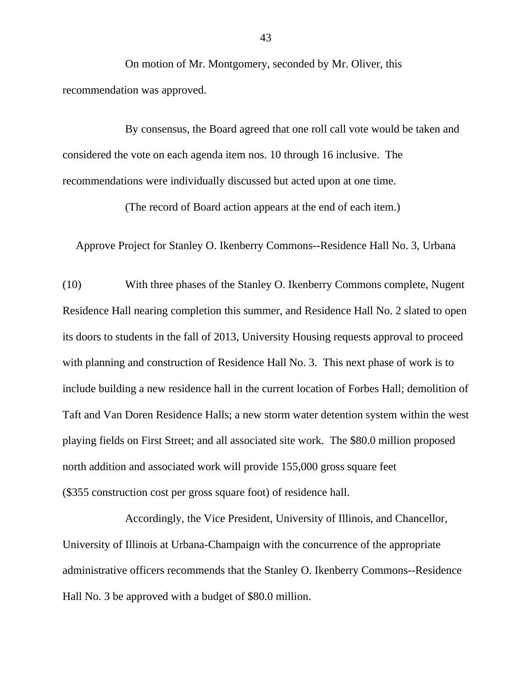On motion of Mr. Montgomery, seconded by Mr. Oliver, this recommendation was approved.

By consensus, the Board agreed that one roll call vote would be taken and considered the vote on each agenda item nos. 10 through 16 inclusive. The recommendations were individually discussed but acted upon at one time.

(The record of Board action appears at the end of each item.)

Approve Project for Stanley O. Ikenberry Commons--Residence Hall No. 3, Urbana

(10) With three phases of the Stanley O. Ikenberry Commons complete, Nugent Residence Hall nearing completion this summer, and Residence Hall No. 2 slated to open its doors to students in the fall of 2013, University Housing requests approval to proceed with planning and construction of Residence Hall No. 3. This next phase of work is to include building a new residence hall in the current location of Forbes Hall; demolition of Taft and Van Doren Residence Halls; a new storm water detention system within the west playing fields on First Street; and all associated site work. The \$80.0 million proposed north addition and associated work will provide 155,000 gross square feet (\$355 construction cost per gross square foot) of residence hall.

Accordingly, the Vice President, University of Illinois, and Chancellor, University of Illinois at Urbana-Champaign with the concurrence of the appropriate administrative officers recommends that the Stanley O. Ikenberry Commons--Residence Hall No. 3 be approved with a budget of \$80.0 million.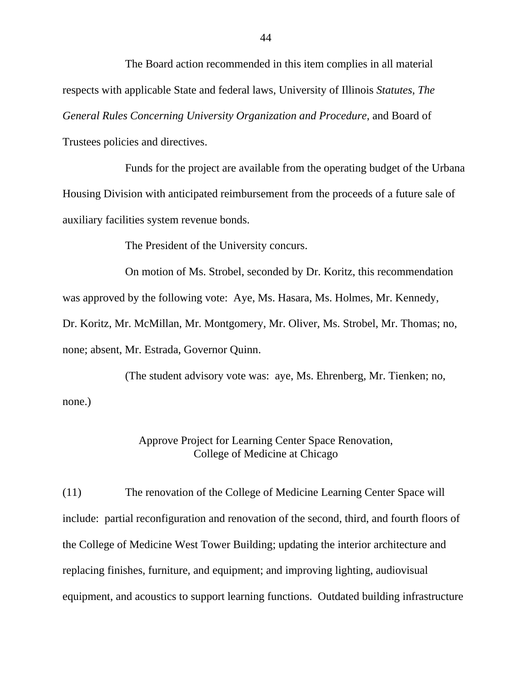The Board action recommended in this item complies in all material respects with applicable State and federal laws, University of Illinois *Statutes*, *The General Rules Concerning University Organization and Procedure*, and Board of Trustees policies and directives.

Funds for the project are available from the operating budget of the Urbana Housing Division with anticipated reimbursement from the proceeds of a future sale of auxiliary facilities system revenue bonds.

The President of the University concurs.

On motion of Ms. Strobel, seconded by Dr. Koritz, this recommendation

was approved by the following vote: Aye, Ms. Hasara, Ms. Holmes, Mr. Kennedy,

Dr. Koritz, Mr. McMillan, Mr. Montgomery, Mr. Oliver, Ms. Strobel, Mr. Thomas; no, none; absent, Mr. Estrada, Governor Quinn.

(The student advisory vote was: aye, Ms. Ehrenberg, Mr. Tienken; no, none.)

## Approve Project for Learning Center Space Renovation, College of Medicine at Chicago

(11) The renovation of the College of Medicine Learning Center Space will include: partial reconfiguration and renovation of the second, third, and fourth floors of the College of Medicine West Tower Building; updating the interior architecture and replacing finishes, furniture, and equipment; and improving lighting, audiovisual equipment, and acoustics to support learning functions. Outdated building infrastructure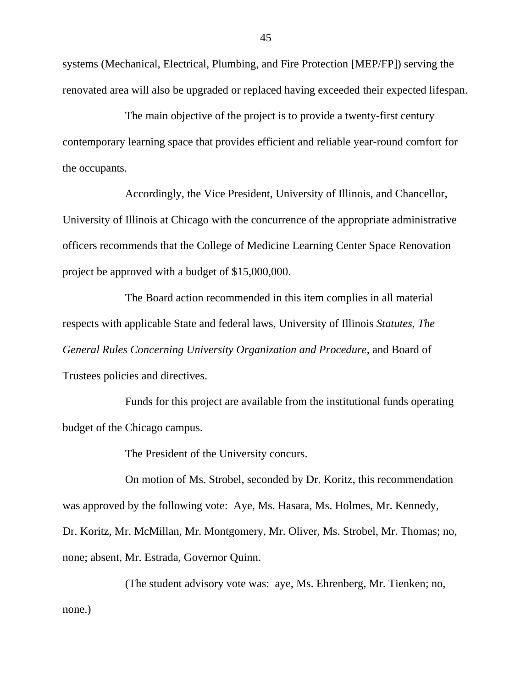systems (Mechanical, Electrical, Plumbing, and Fire Protection [MEP/FP]) serving the renovated area will also be upgraded or replaced having exceeded their expected lifespan.

The main objective of the project is to provide a twenty-first century contemporary learning space that provides efficient and reliable year-round comfort for the occupants.

Accordingly, the Vice President, University of Illinois, and Chancellor, University of Illinois at Chicago with the concurrence of the appropriate administrative officers recommends that the College of Medicine Learning Center Space Renovation project be approved with a budget of \$15,000,000.

The Board action recommended in this item complies in all material respects with applicable State and federal laws, University of Illinois *Statutes*, *The General Rules Concerning University Organization and Procedure*, and Board of Trustees policies and directives.

Funds for this project are available from the institutional funds operating budget of the Chicago campus.

The President of the University concurs.

On motion of Ms. Strobel, seconded by Dr. Koritz, this recommendation was approved by the following vote: Aye, Ms. Hasara, Ms. Holmes, Mr. Kennedy, Dr. Koritz, Mr. McMillan, Mr. Montgomery, Mr. Oliver, Ms. Strobel, Mr. Thomas; no, none; absent, Mr. Estrada, Governor Quinn.

(The student advisory vote was: aye, Ms. Ehrenberg, Mr. Tienken; no, none.)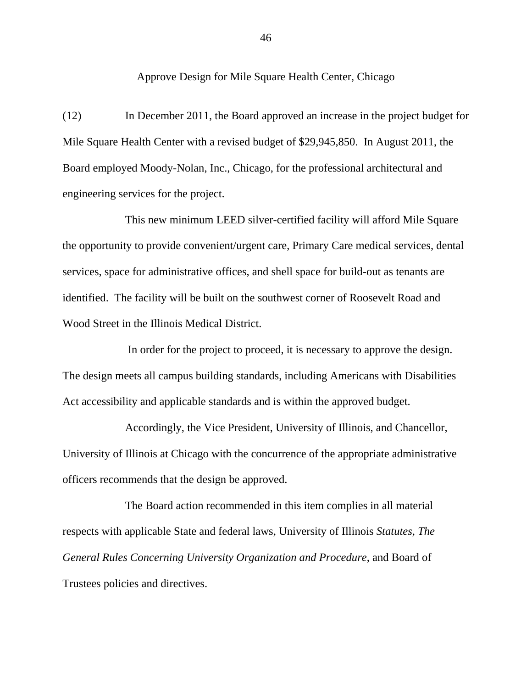Approve Design for Mile Square Health Center, Chicago

(12) In December 2011, the Board approved an increase in the project budget for Mile Square Health Center with a revised budget of \$29,945,850. In August 2011, the Board employed Moody-Nolan, Inc., Chicago, for the professional architectural and engineering services for the project.

This new minimum LEED silver-certified facility will afford Mile Square the opportunity to provide convenient/urgent care, Primary Care medical services, dental services, space for administrative offices, and shell space for build-out as tenants are identified. The facility will be built on the southwest corner of Roosevelt Road and Wood Street in the Illinois Medical District.

In order for the project to proceed, it is necessary to approve the design. The design meets all campus building standards, including Americans with Disabilities Act accessibility and applicable standards and is within the approved budget.

Accordingly, the Vice President, University of Illinois, and Chancellor, University of Illinois at Chicago with the concurrence of the appropriate administrative officers recommends that the design be approved.

The Board action recommended in this item complies in all material respects with applicable State and federal laws, University of Illinois *Statutes*, *The General Rules Concerning University Organization and Procedure*, and Board of Trustees policies and directives.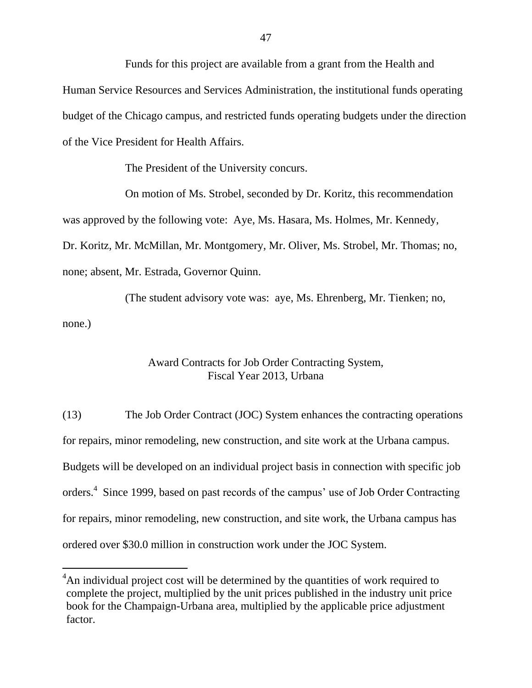Funds for this project are available from a grant from the Health and Human Service Resources and Services Administration, the institutional funds operating budget of the Chicago campus, and restricted funds operating budgets under the direction of the Vice President for Health Affairs.

The President of the University concurs.

On motion of Ms. Strobel, seconded by Dr. Koritz, this recommendation was approved by the following vote: Aye, Ms. Hasara, Ms. Holmes, Mr. Kennedy, Dr. Koritz, Mr. McMillan, Mr. Montgomery, Mr. Oliver, Ms. Strobel, Mr. Thomas; no, none; absent, Mr. Estrada, Governor Quinn.

(The student advisory vote was: aye, Ms. Ehrenberg, Mr. Tienken; no, none.)

## Award Contracts for Job Order Contracting System, Fiscal Year 2013, Urbana

(13) The Job Order Contract (JOC) System enhances the contracting operations for repairs, minor remodeling, new construction, and site work at the Urbana campus. Budgets will be developed on an individual project basis in connection with specific job orders.<sup>4</sup> Since 1999, based on past records of the campus' use of Job Order Contracting for repairs, minor remodeling, new construction, and site work, the Urbana campus has ordered over \$30.0 million in construction work under the JOC System.

 $\overline{a}$ 

<sup>&</sup>lt;sup>4</sup>An individual project cost will be determined by the quantities of work required to complete the project, multiplied by the unit prices published in the industry unit price book for the Champaign-Urbana area, multiplied by the applicable price adjustment factor.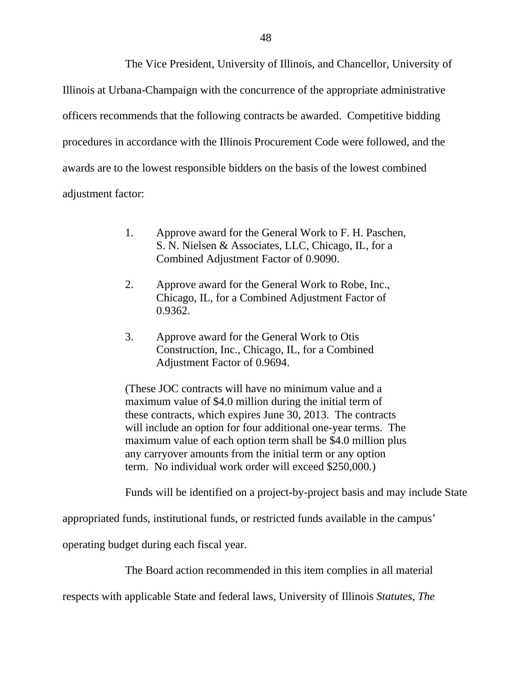The Vice President, University of Illinois, and Chancellor, University of Illinois at Urbana-Champaign with the concurrence of the appropriate administrative officers recommends that the following contracts be awarded. Competitive bidding procedures in accordance with the Illinois Procurement Code were followed, and the awards are to the lowest responsible bidders on the basis of the lowest combined adjustment factor:

- 1. Approve award for the General Work to F. H. Paschen, S. N. Nielsen & Associates, LLC, Chicago, IL, for a Combined Adjustment Factor of 0.9090.
- 2. Approve award for the General Work to Robe, Inc., Chicago, IL, for a Combined Adjustment Factor of 0.9362.
- 3. Approve award for the General Work to Otis Construction, Inc., Chicago, IL, for a Combined Adjustment Factor of 0.9694.

(These JOC contracts will have no minimum value and a maximum value of \$4.0 million during the initial term of these contracts, which expires June 30, 2013. The contracts will include an option for four additional one-year terms. The maximum value of each option term shall be \$4.0 million plus any carryover amounts from the initial term or any option term. No individual work order will exceed \$250,000.)

Funds will be identified on a project-by-project basis and may include State

appropriated funds, institutional funds, or restricted funds available in the campus'

operating budget during each fiscal year.

The Board action recommended in this item complies in all material

respects with applicable State and federal laws, University of Illinois *Statutes*, *The*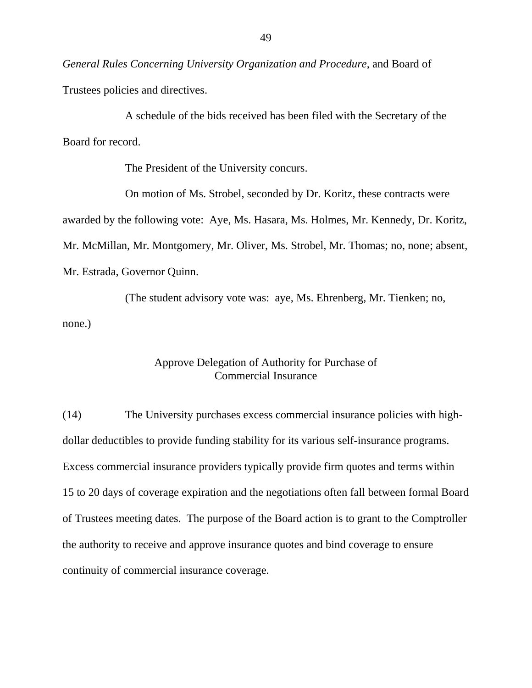*General Rules Concerning University Organization and Procedure*, and Board of Trustees policies and directives.

A schedule of the bids received has been filed with the Secretary of the Board for record.

The President of the University concurs.

On motion of Ms. Strobel, seconded by Dr. Koritz, these contracts were awarded by the following vote: Aye, Ms. Hasara, Ms. Holmes, Mr. Kennedy, Dr. Koritz, Mr. McMillan, Mr. Montgomery, Mr. Oliver, Ms. Strobel, Mr. Thomas; no, none; absent, Mr. Estrada, Governor Quinn.

(The student advisory vote was: aye, Ms. Ehrenberg, Mr. Tienken; no, none.)

#### Approve Delegation of Authority for Purchase of Commercial Insurance

(14) The University purchases excess commercial insurance policies with highdollar deductibles to provide funding stability for its various self-insurance programs. Excess commercial insurance providers typically provide firm quotes and terms within 15 to 20 days of coverage expiration and the negotiations often fall between formal Board of Trustees meeting dates. The purpose of the Board action is to grant to the Comptroller the authority to receive and approve insurance quotes and bind coverage to ensure continuity of commercial insurance coverage.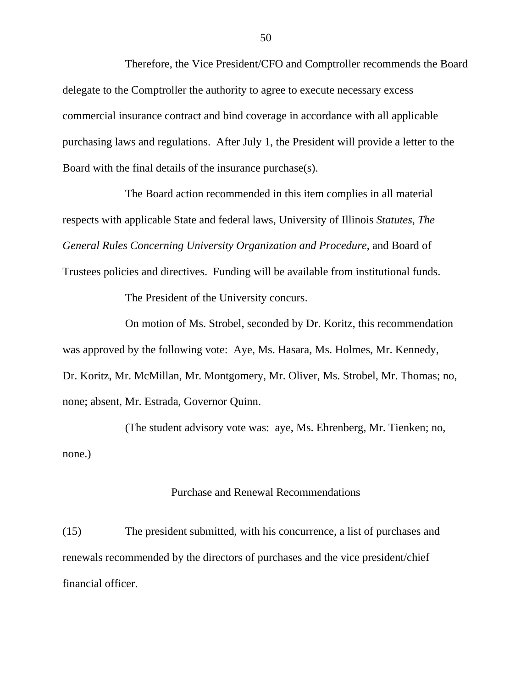Therefore, the Vice President/CFO and Comptroller recommends the Board delegate to the Comptroller the authority to agree to execute necessary excess commercial insurance contract and bind coverage in accordance with all applicable purchasing laws and regulations. After July 1, the President will provide a letter to the Board with the final details of the insurance purchase(s).

The Board action recommended in this item complies in all material respects with applicable State and federal laws, University of Illinois *Statutes, The General Rules Concerning University Organization and Procedure*, and Board of

Trustees policies and directives. Funding will be available from institutional funds.

The President of the University concurs.

On motion of Ms. Strobel, seconded by Dr. Koritz, this recommendation was approved by the following vote: Aye, Ms. Hasara, Ms. Holmes, Mr. Kennedy, Dr. Koritz, Mr. McMillan, Mr. Montgomery, Mr. Oliver, Ms. Strobel, Mr. Thomas; no, none; absent, Mr. Estrada, Governor Quinn.

(The student advisory vote was: aye, Ms. Ehrenberg, Mr. Tienken; no, none.)

### Purchase and Renewal Recommendations

(15) The president submitted, with his concurrence, a list of purchases and renewals recommended by the directors of purchases and the vice president/chief financial officer.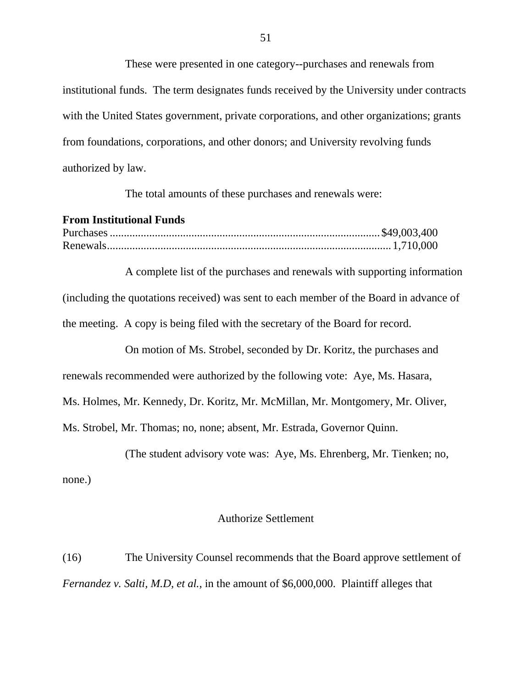These were presented in one category--purchases and renewals from institutional funds. The term designates funds received by the University under contracts with the United States government, private corporations, and other organizations; grants from foundations, corporations, and other donors; and University revolving funds authorized by law.

The total amounts of these purchases and renewals were:

#### **From Institutional Funds**

A complete list of the purchases and renewals with supporting information (including the quotations received) was sent to each member of the Board in advance of the meeting. A copy is being filed with the secretary of the Board for record.

On motion of Ms. Strobel, seconded by Dr. Koritz, the purchases and renewals recommended were authorized by the following vote: Aye, Ms. Hasara, Ms. Holmes, Mr. Kennedy, Dr. Koritz, Mr. McMillan, Mr. Montgomery, Mr. Oliver, Ms. Strobel, Mr. Thomas; no, none; absent, Mr. Estrada, Governor Quinn.

(The student advisory vote was: Aye, Ms. Ehrenberg, Mr. Tienken; no,

none.)

#### Authorize Settlement

(16) The University Counsel recommends that the Board approve settlement of *Fernandez v. Salti, M.D, et al.,* in the amount of \$6,000,000. Plaintiff alleges that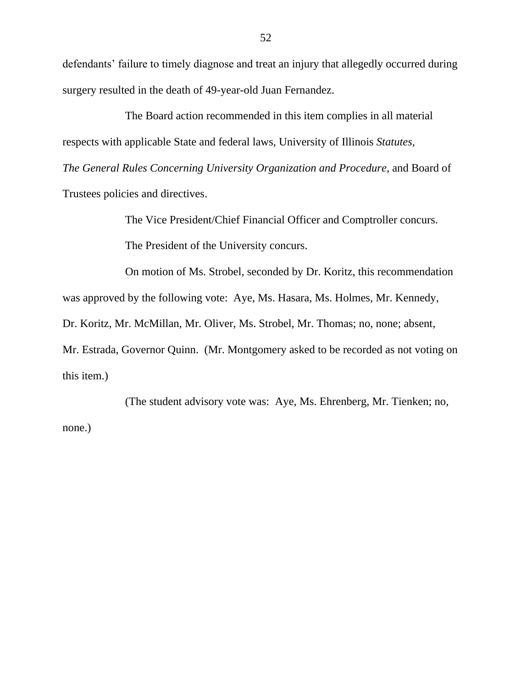defendants' failure to timely diagnose and treat an injury that allegedly occurred during surgery resulted in the death of 49-year-old Juan Fernandez.

The Board action recommended in this item complies in all material respects with applicable State and federal laws, University of Illinois *Statutes*, *The General Rules Concerning University Organization and Procedure*, and Board of Trustees policies and directives.

The Vice President/Chief Financial Officer and Comptroller concurs.

The President of the University concurs.

On motion of Ms. Strobel, seconded by Dr. Koritz, this recommendation was approved by the following vote: Aye, Ms. Hasara, Ms. Holmes, Mr. Kennedy, Dr. Koritz, Mr. McMillan, Mr. Oliver, Ms. Strobel, Mr. Thomas; no, none; absent, Mr. Estrada, Governor Quinn. (Mr. Montgomery asked to be recorded as not voting on this item.)

(The student advisory vote was: Aye, Ms. Ehrenberg, Mr. Tienken; no, none.)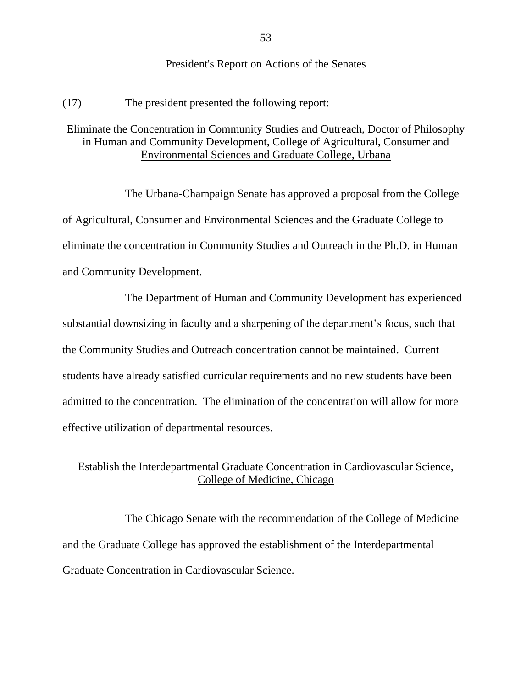#### President's Report on Actions of the Senates

(17) The president presented the following report:

## Eliminate the Concentration in Community Studies and Outreach, Doctor of Philosophy in Human and Community Development, College of Agricultural, Consumer and Environmental Sciences and Graduate College, Urbana

The Urbana-Champaign Senate has approved a proposal from the College of Agricultural, Consumer and Environmental Sciences and the Graduate College to eliminate the concentration in Community Studies and Outreach in the Ph.D. in Human and Community Development.

The Department of Human and Community Development has experienced substantial downsizing in faculty and a sharpening of the department's focus, such that the Community Studies and Outreach concentration cannot be maintained. Current students have already satisfied curricular requirements and no new students have been admitted to the concentration. The elimination of the concentration will allow for more effective utilization of departmental resources.

## Establish the Interdepartmental Graduate Concentration in Cardiovascular Science, College of Medicine, Chicago

The Chicago Senate with the recommendation of the College of Medicine and the Graduate College has approved the establishment of the Interdepartmental Graduate Concentration in Cardiovascular Science.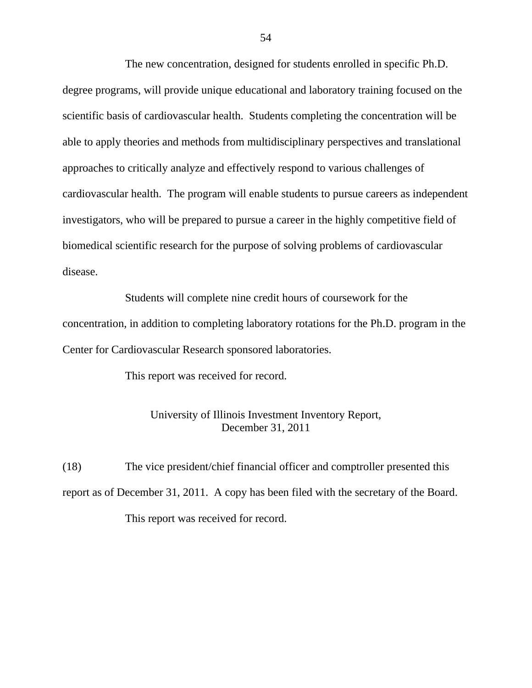The new concentration, designed for students enrolled in specific Ph.D. degree programs, will provide unique educational and laboratory training focused on the scientific basis of cardiovascular health. Students completing the concentration will be able to apply theories and methods from multidisciplinary perspectives and translational approaches to critically analyze and effectively respond to various challenges of cardiovascular health. The program will enable students to pursue careers as independent investigators, who will be prepared to pursue a career in the highly competitive field of biomedical scientific research for the purpose of solving problems of cardiovascular disease.

Students will complete nine credit hours of coursework for the concentration, in addition to completing laboratory rotations for the Ph.D. program in the Center for Cardiovascular Research sponsored laboratories.

This report was received for record.

### University of Illinois Investment Inventory Report, December 31, 2011

(18) The vice president/chief financial officer and comptroller presented this report as of December 31, 2011. A copy has been filed with the secretary of the Board. This report was received for record.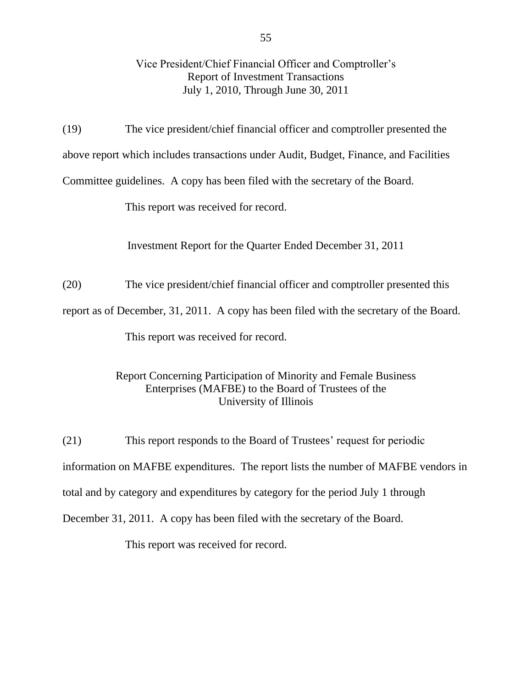## Vice President/Chief Financial Officer and Comptroller's Report of Investment Transactions July 1, 2010, Through June 30, 2011

(19) The vice president/chief financial officer and comptroller presented the above report which includes transactions under Audit, Budget, Finance, and Facilities Committee guidelines. A copy has been filed with the secretary of the Board.

This report was received for record.

Investment Report for the Quarter Ended December 31, 2011

(20) The vice president/chief financial officer and comptroller presented this

report as of December, 31, 2011. A copy has been filed with the secretary of the Board.

This report was received for record.

## Report Concerning Participation of Minority and Female Business Enterprises (MAFBE) to the Board of Trustees of the University of Illinois

(21) This report responds to the Board of Trustees' request for periodic information on MAFBE expenditures. The report lists the number of MAFBE vendors in total and by category and expenditures by category for the period July 1 through December 31, 2011. A copy has been filed with the secretary of the Board.

This report was received for record.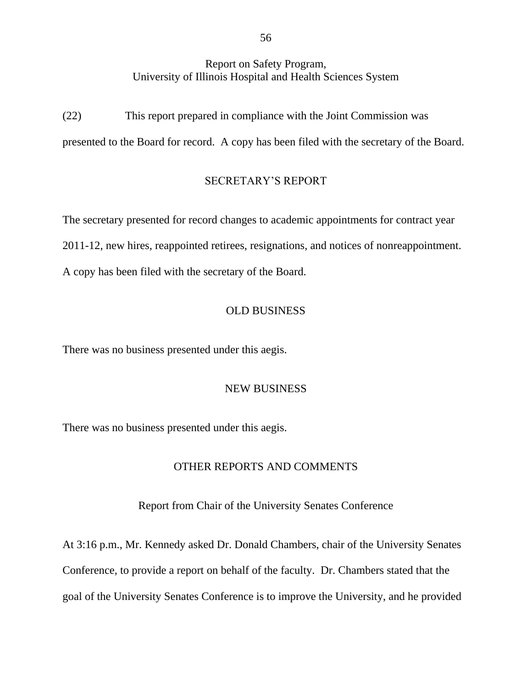### Report on Safety Program, University of Illinois Hospital and Health Sciences System

(22) This report prepared in compliance with the Joint Commission was presented to the Board for record. A copy has been filed with the secretary of the Board.

### SECRETARY'S REPORT

The secretary presented for record changes to academic appointments for contract year 2011-12, new hires, reappointed retirees, resignations, and notices of nonreappointment. A copy has been filed with the secretary of the Board.

### OLD BUSINESS

There was no business presented under this aegis.

### NEW BUSINESS

There was no business presented under this aegis.

#### OTHER REPORTS AND COMMENTS

Report from Chair of the University Senates Conference

At 3:16 p.m., Mr. Kennedy asked Dr. Donald Chambers, chair of the University Senates Conference, to provide a report on behalf of the faculty. Dr. Chambers stated that the goal of the University Senates Conference is to improve the University, and he provided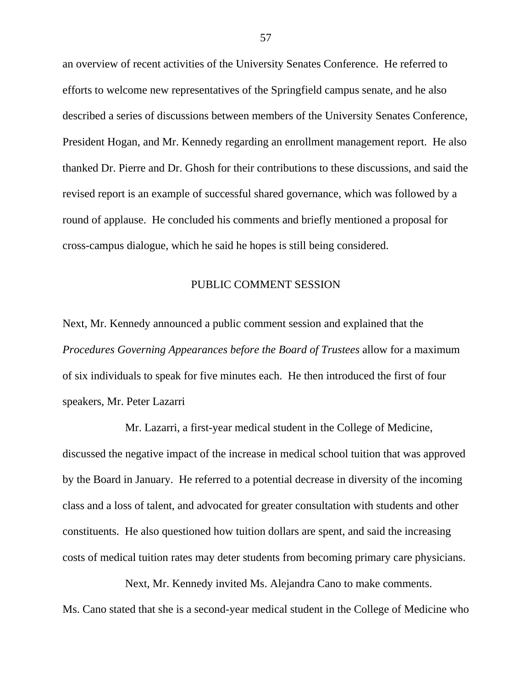an overview of recent activities of the University Senates Conference. He referred to efforts to welcome new representatives of the Springfield campus senate, and he also described a series of discussions between members of the University Senates Conference, President Hogan, and Mr. Kennedy regarding an enrollment management report. He also thanked Dr. Pierre and Dr. Ghosh for their contributions to these discussions, and said the revised report is an example of successful shared governance, which was followed by a round of applause. He concluded his comments and briefly mentioned a proposal for cross-campus dialogue, which he said he hopes is still being considered.

#### PUBLIC COMMENT SESSION

Next, Mr. Kennedy announced a public comment session and explained that the *Procedures Governing Appearances before the Board of Trustees* allow for a maximum of six individuals to speak for five minutes each. He then introduced the first of four speakers, Mr. Peter Lazarri

Mr. Lazarri, a first-year medical student in the College of Medicine, discussed the negative impact of the increase in medical school tuition that was approved by the Board in January. He referred to a potential decrease in diversity of the incoming class and a loss of talent, and advocated for greater consultation with students and other constituents. He also questioned how tuition dollars are spent, and said the increasing costs of medical tuition rates may deter students from becoming primary care physicians.

Next, Mr. Kennedy invited Ms. Alejandra Cano to make comments. Ms. Cano stated that she is a second-year medical student in the College of Medicine who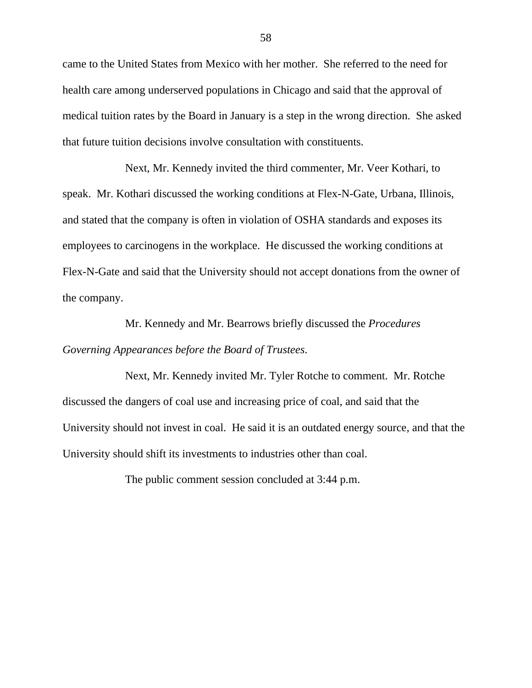came to the United States from Mexico with her mother. She referred to the need for health care among underserved populations in Chicago and said that the approval of medical tuition rates by the Board in January is a step in the wrong direction. She asked that future tuition decisions involve consultation with constituents.

Next, Mr. Kennedy invited the third commenter, Mr. Veer Kothari, to speak. Mr. Kothari discussed the working conditions at Flex-N-Gate, Urbana, Illinois, and stated that the company is often in violation of OSHA standards and exposes its employees to carcinogens in the workplace. He discussed the working conditions at Flex-N-Gate and said that the University should not accept donations from the owner of the company.

Mr. Kennedy and Mr. Bearrows briefly discussed the *Procedures Governing Appearances before the Board of Trustees*.

Next, Mr. Kennedy invited Mr. Tyler Rotche to comment. Mr. Rotche discussed the dangers of coal use and increasing price of coal, and said that the University should not invest in coal. He said it is an outdated energy source, and that the University should shift its investments to industries other than coal.

The public comment session concluded at 3:44 p.m.